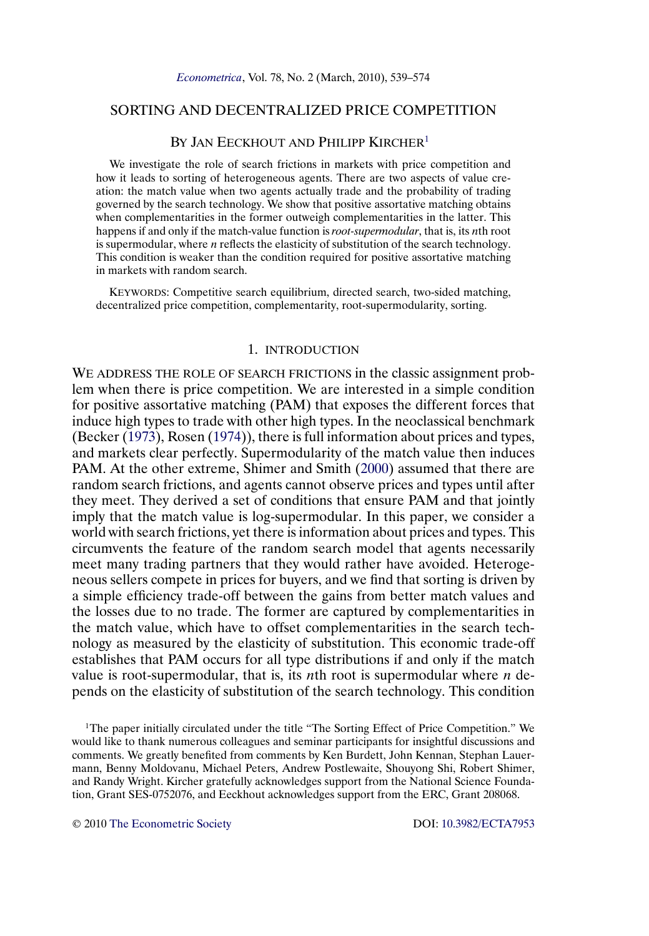## <span id="page-0-0"></span>SORTING AND DECENTRALIZED PRICE COMPETITION

# BY JAN EECKHOUT AND PHILIPP KIRCHER<sup>1</sup>

We investigate the role of search frictions in markets with price competition and how it leads to sorting of heterogeneous agents. There are two aspects of value creation: the match value when two agents actually trade and the probability of trading governed by the search technology. We show that positive assortative matching obtains when complementarities in the former outweigh complementarities in the latter. This happens if and only if the match-value function is *root-supermodular*, that is, its nth root is supermodular, where  $n$  reflects the elasticity of substitution of the search technology. This condition is weaker than the condition required for positive assortative matching in markets with random search.

KEYWORDS: Competitive search equilibrium, directed search, two-sided matching, decentralized price competition, complementarity, root-supermodularity, sorting.

### 1. INTRODUCTION

WE ADDRESS THE ROLE OF SEARCH FRICTIONS in the classic assignment problem when there is price competition. We are interested in a simple condition for positive assortative matching (PAM) that exposes the different forces that induce high types to trade with other high types. In the neoclassical benchmark (Becker [\(1973\)](#page-34-0), Rosen [\(1974\)](#page-35-0)), there is full information about prices and types, and markets clear perfectly. Supermodularity of the match value then induces PAM. At the other extreme, Shimer and Smith [\(2000\)](#page-35-0) assumed that there are random search frictions, and agents cannot observe prices and types until after they meet. They derived a set of conditions that ensure PAM and that jointly imply that the match value is log-supermodular. In this paper, we consider a world with search frictions, yet there is information about prices and types. This circumvents the feature of the random search model that agents necessarily meet many trading partners that they would rather have avoided. Heterogeneous sellers compete in prices for buyers, and we find that sorting is driven by a simple efficiency trade-off between the gains from better match values and the losses due to no trade. The former are captured by complementarities in the match value, which have to offset complementarities in the search technology as measured by the elasticity of substitution. This economic trade-off establishes that PAM occurs for all type distributions if and only if the match value is root-supermodular, that is, its nth root is supermodular where  $n$  depends on the elasticity of substitution of the search technology. This condition

<sup>1</sup>The paper initially circulated under the title "The Sorting Effect of Price Competition." We would like to thank numerous colleagues and seminar participants for insightful discussions and comments. We greatly benefited from comments by Ken Burdett, John Kennan, Stephan Lauermann, Benny Moldovanu, Michael Peters, Andrew Postlewaite, Shouyong Shi, Robert Shimer, and Randy Wright. Kircher gratefully acknowledges support from the National Science Foundation, Grant SES-0752076, and Eeckhout acknowledges support from the ERC, Grant 208068.

© 2010 [The Econometric Society](http://www.econometricsociety.org/) DOI: [10.3982/ECTA7953](http://dx.doi.org/10.3982/ECTA7953)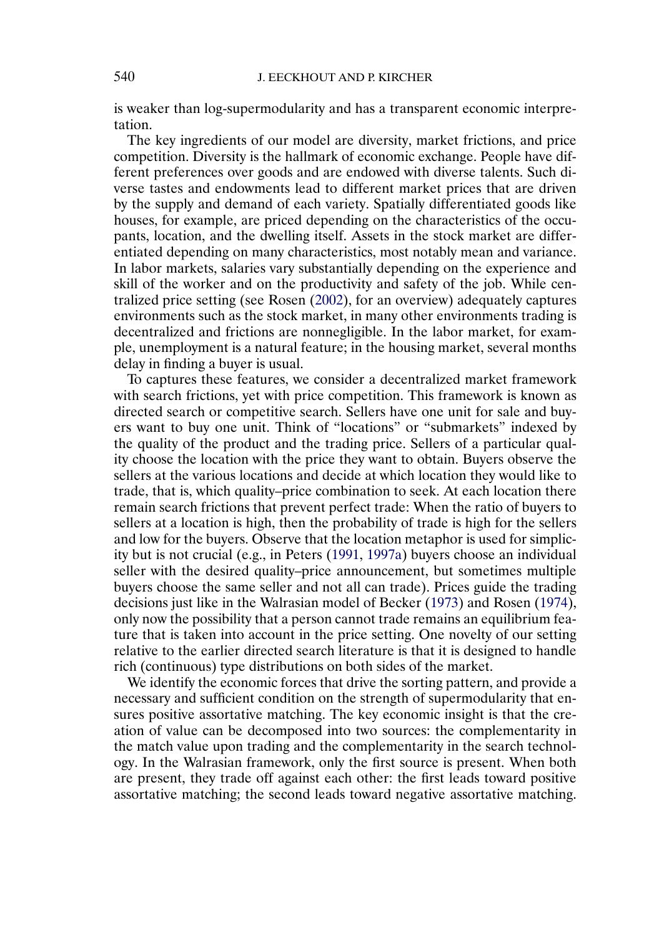<span id="page-1-0"></span>is weaker than log-supermodularity and has a transparent economic interpretation.

The key ingredients of our model are diversity, market frictions, and price competition. Diversity is the hallmark of economic exchange. People have different preferences over goods and are endowed with diverse talents. Such diverse tastes and endowments lead to different market prices that are driven by the supply and demand of each variety. Spatially differentiated goods like houses, for example, are priced depending on the characteristics of the occupants, location, and the dwelling itself. Assets in the stock market are differentiated depending on many characteristics, most notably mean and variance. In labor markets, salaries vary substantially depending on the experience and skill of the worker and on the productivity and safety of the job. While centralized price setting (see Rosen [\(2002\)](#page-35-0), for an overview) adequately captures environments such as the stock market, in many other environments trading is decentralized and frictions are nonnegligible. In the labor market, for example, unemployment is a natural feature; in the housing market, several months delay in finding a buyer is usual.

To captures these features, we consider a decentralized market framework with search frictions, yet with price competition. This framework is known as directed search or competitive search. Sellers have one unit for sale and buyers want to buy one unit. Think of "locations" or "submarkets" indexed by the quality of the product and the trading price. Sellers of a particular quality choose the location with the price they want to obtain. Buyers observe the sellers at the various locations and decide at which location they would like to trade, that is, which quality–price combination to seek. At each location there remain search frictions that prevent perfect trade: When the ratio of buyers to sellers at a location is high, then the probability of trade is high for the sellers and low for the buyers. Observe that the location metaphor is used for simplicity but is not crucial (e.g., in Peters [\(1991,](#page-35-0) [1997a\)](#page-35-0) buyers choose an individual seller with the desired quality–price announcement, but sometimes multiple buyers choose the same seller and not all can trade). Prices guide the trading decisions just like in the Walrasian model of Becker [\(1973\)](#page-34-0) and Rosen [\(1974\)](#page-35-0), only now the possibility that a person cannot trade remains an equilibrium feature that is taken into account in the price setting. One novelty of our setting relative to the earlier directed search literature is that it is designed to handle rich (continuous) type distributions on both sides of the market.

We identify the economic forces that drive the sorting pattern, and provide a necessary and sufficient condition on the strength of supermodularity that ensures positive assortative matching. The key economic insight is that the creation of value can be decomposed into two sources: the complementarity in the match value upon trading and the complementarity in the search technology. In the Walrasian framework, only the first source is present. When both are present, they trade off against each other: the first leads toward positive assortative matching; the second leads toward negative assortative matching.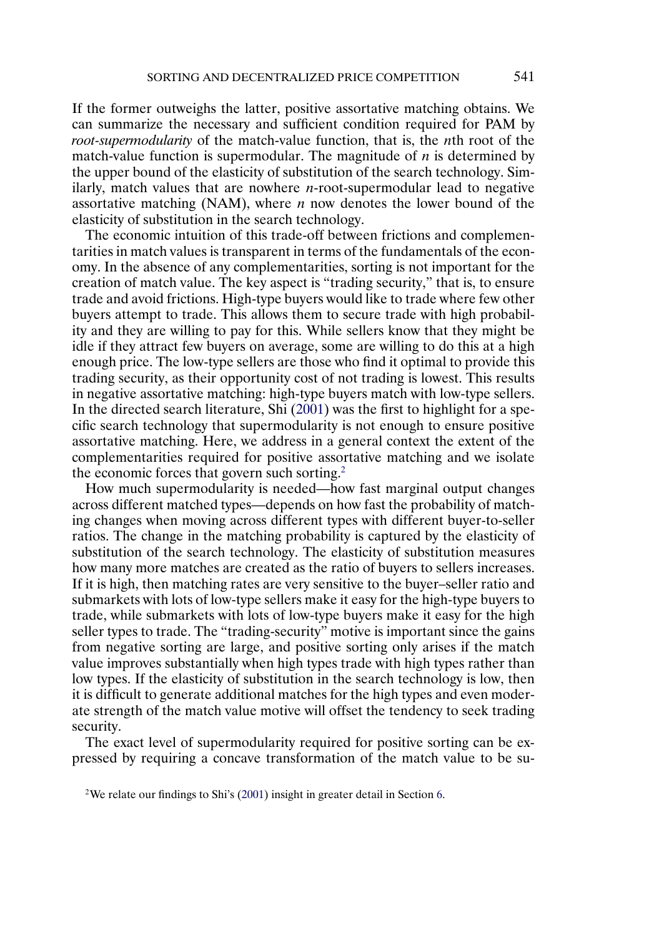<span id="page-2-0"></span>If the former outweighs the latter, positive assortative matching obtains. We can summarize the necessary and sufficient condition required for PAM by *root-supermodularity* of the match-value function, that is, the nth root of the match-value function is supermodular. The magnitude of  $n$  is determined by the upper bound of the elasticity of substitution of the search technology. Similarly, match values that are nowhere  $n$ -root-supermodular lead to negative assortative matching (NAM), where  $n$  now denotes the lower bound of the elasticity of substitution in the search technology.

The economic intuition of this trade-off between frictions and complementarities in match values is transparent in terms of the fundamentals of the economy. In the absence of any complementarities, sorting is not important for the creation of match value. The key aspect is "trading security," that is, to ensure trade and avoid frictions. High-type buyers would like to trade where few other buyers attempt to trade. This allows them to secure trade with high probability and they are willing to pay for this. While sellers know that they might be idle if they attract few buyers on average, some are willing to do this at a high enough price. The low-type sellers are those who find it optimal to provide this trading security, as their opportunity cost of not trading is lowest. This results in negative assortative matching: high-type buyers match with low-type sellers. In the directed search literature, Shi [\(2001\)](#page-35-0) was the first to highlight for a specific search technology that supermodularity is not enough to ensure positive assortative matching. Here, we address in a general context the extent of the complementarities required for positive assortative matching and we isolate the economic forces that govern such sorting.<sup>2</sup>

How much supermodularity is needed—how fast marginal output changes across different matched types—depends on how fast the probability of matching changes when moving across different types with different buyer-to-seller ratios. The change in the matching probability is captured by the elasticity of substitution of the search technology. The elasticity of substitution measures how many more matches are created as the ratio of buyers to sellers increases. If it is high, then matching rates are very sensitive to the buyer–seller ratio and submarkets with lots of low-type sellers make it easy for the high-type buyers to trade, while submarkets with lots of low-type buyers make it easy for the high seller types to trade. The "trading-security" motive is important since the gains from negative sorting are large, and positive sorting only arises if the match value improves substantially when high types trade with high types rather than low types. If the elasticity of substitution in the search technology is low, then it is difficult to generate additional matches for the high types and even moderate strength of the match value motive will offset the tendency to seek trading security.

The exact level of supermodularity required for positive sorting can be expressed by requiring a concave transformation of the match value to be su-

<sup>2</sup>We relate our findings to Shi's [\(2001\)](#page-35-0) insight in greater detail in Section [6.](#page-18-0)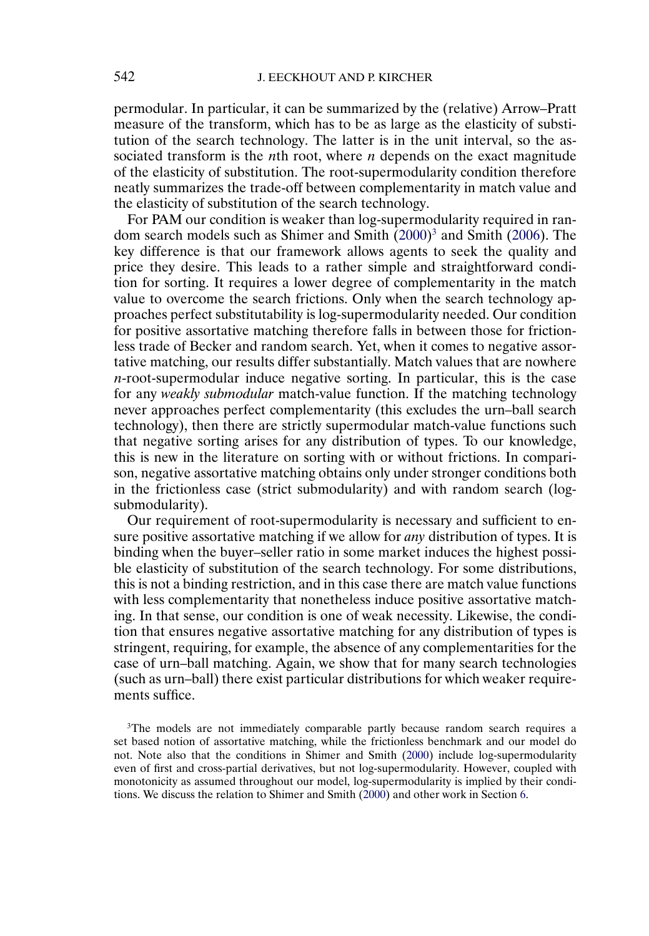<span id="page-3-0"></span>permodular. In particular, it can be summarized by the (relative) Arrow–Pratt measure of the transform, which has to be as large as the elasticity of substitution of the search technology. The latter is in the unit interval, so the associated transform is the *n*th root, where *n* depends on the exact magnitude of the elasticity of substitution. The root-supermodularity condition therefore neatly summarizes the trade-off between complementarity in match value and the elasticity of substitution of the search technology.

For PAM our condition is weaker than log-supermodularity required in ran-dom search models such as Shimer and Smith [\(2000\)](#page-35-0)<sup>3</sup> and Smith [\(2006\)](#page-35-0). The key difference is that our framework allows agents to seek the quality and price they desire. This leads to a rather simple and straightforward condition for sorting. It requires a lower degree of complementarity in the match value to overcome the search frictions. Only when the search technology approaches perfect substitutability is log-supermodularity needed. Our condition for positive assortative matching therefore falls in between those for frictionless trade of Becker and random search. Yet, when it comes to negative assortative matching, our results differ substantially. Match values that are nowhere n-root-supermodular induce negative sorting. In particular, this is the case for any *weakly submodular* match-value function. If the matching technology never approaches perfect complementarity (this excludes the urn–ball search technology), then there are strictly supermodular match-value functions such that negative sorting arises for any distribution of types. To our knowledge, this is new in the literature on sorting with or without frictions. In comparison, negative assortative matching obtains only under stronger conditions both in the frictionless case (strict submodularity) and with random search (logsubmodularity).

Our requirement of root-supermodularity is necessary and sufficient to ensure positive assortative matching if we allow for *any* distribution of types. It is binding when the buyer–seller ratio in some market induces the highest possible elasticity of substitution of the search technology. For some distributions, this is not a binding restriction, and in this case there are match value functions with less complementarity that nonetheless induce positive assortative matching. In that sense, our condition is one of weak necessity. Likewise, the condition that ensures negative assortative matching for any distribution of types is stringent, requiring, for example, the absence of any complementarities for the case of urn–ball matching. Again, we show that for many search technologies (such as urn–ball) there exist particular distributions for which weaker requirements suffice.

<sup>3</sup>The models are not immediately comparable partly because random search requires a set based notion of assortative matching, while the frictionless benchmark and our model do not. Note also that the conditions in Shimer and Smith [\(2000\)](#page-35-0) include log-supermodularity even of first and cross-partial derivatives, but not log-supermodularity. However, coupled with monotonicity as assumed throughout our model, log-supermodularity is implied by their conditions. We discuss the relation to Shimer and Smith [\(2000\)](#page-35-0) and other work in Section [6.](#page-18-0)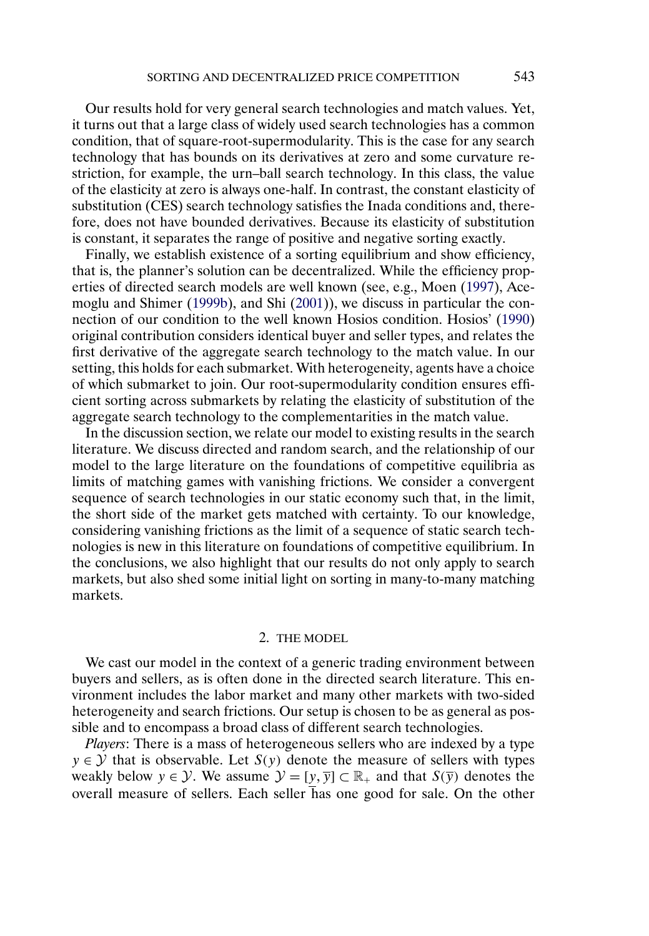<span id="page-4-0"></span>Our results hold for very general search technologies and match values. Yet, it turns out that a large class of widely used search technologies has a common condition, that of square-root-supermodularity. This is the case for any search technology that has bounds on its derivatives at zero and some curvature restriction, for example, the urn–ball search technology. In this class, the value of the elasticity at zero is always one-half. In contrast, the constant elasticity of substitution (CES) search technology satisfies the Inada conditions and, therefore, does not have bounded derivatives. Because its elasticity of substitution is constant, it separates the range of positive and negative sorting exactly.

Finally, we establish existence of a sorting equilibrium and show efficiency, that is, the planner's solution can be decentralized. While the efficiency properties of directed search models are well known (see, e.g., Moen [\(1997\)](#page-34-0), Acemoglu and Shimer [\(1999b\)](#page-34-0), and Shi [\(2001\)](#page-35-0)), we discuss in particular the connection of our condition to the well known Hosios condition. Hosios' [\(1990\)](#page-34-0) original contribution considers identical buyer and seller types, and relates the first derivative of the aggregate search technology to the match value. In our setting, this holds for each submarket. With heterogeneity, agents have a choice of which submarket to join. Our root-supermodularity condition ensures efficient sorting across submarkets by relating the elasticity of substitution of the aggregate search technology to the complementarities in the match value.

In the discussion section, we relate our model to existing results in the search literature. We discuss directed and random search, and the relationship of our model to the large literature on the foundations of competitive equilibria as limits of matching games with vanishing frictions. We consider a convergent sequence of search technologies in our static economy such that, in the limit, the short side of the market gets matched with certainty. To our knowledge, considering vanishing frictions as the limit of a sequence of static search technologies is new in this literature on foundations of competitive equilibrium. In the conclusions, we also highlight that our results do not only apply to search markets, but also shed some initial light on sorting in many-to-many matching markets.

### 2. THE MODEL

We cast our model in the context of a generic trading environment between buyers and sellers, as is often done in the directed search literature. This environment includes the labor market and many other markets with two-sided heterogeneity and search frictions. Our setup is chosen to be as general as possible and to encompass a broad class of different search technologies.

*Players*: There is a mass of heterogeneous sellers who are indexed by a type  $y \in Y$  that is observable. Let  $S(y)$  denote the measure of sellers with types weakly below  $y \in \mathcal{Y}$ . We assume  $\mathcal{Y} = [\underline{y}, \overline{y}] \subset \mathbb{R}_+$  and that  $S(\overline{y})$  denotes the overall measure of sellers. Each seller has one good for sale. On the other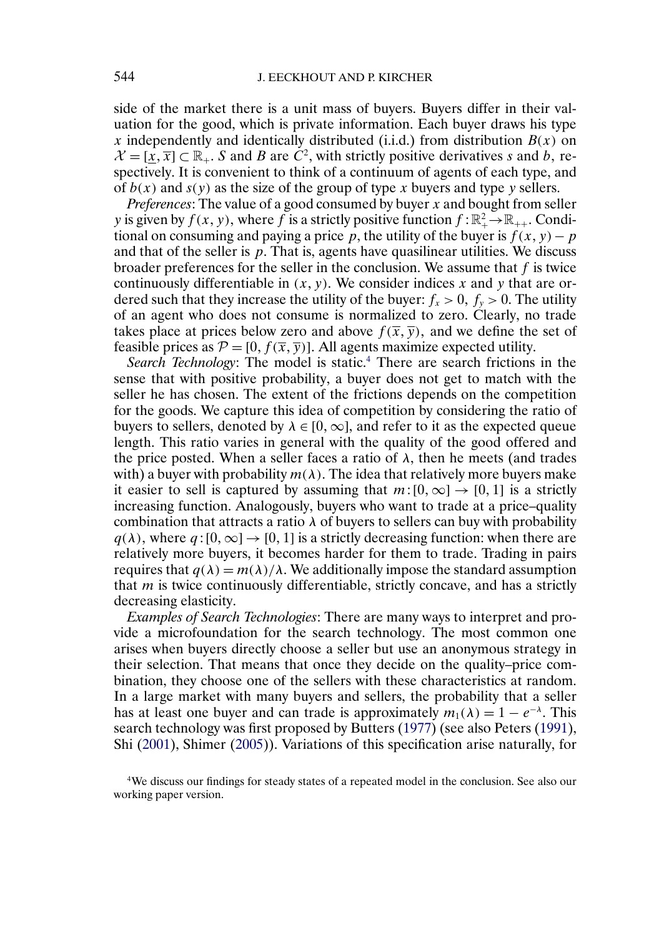<span id="page-5-0"></span>side of the market there is a unit mass of buyers. Buyers differ in their valuation for the good, which is private information. Each buyer draws his type x independently and identically distributed (i.i.d.) from distribution  $B(x)$  on  $\mathcal{X} = [\hat{x}, \overline{x}] \subset \mathbb{R}_+$ . S and B are  $C^2$ , with strictly positive derivatives s and b, respectively. It is convenient to think of a continuum of agents of each type, and of  $b(x)$  and  $s(y)$  as the size of the group of type x buyers and type y sellers.

*Preferences*: The value of a good consumed by buyer x and bought from seller y is given by  $f(x, y)$ , where f is a strictly positive function  $f : \mathbb{R}_+^2 \to \mathbb{R}_{++}$ . Conditional on consuming and paying a price p, the utility of the buyer is  $f(x, y) - p$ and that of the seller is  $p$ . That is, agents have quasilinear utilities. We discuss broader preferences for the seller in the conclusion. We assume that  $f$  is twice continuously differentiable in  $(x, y)$ . We consider indices x and y that are ordered such that they increase the utility of the buyer:  $f_x > 0$ ,  $f_y > 0$ . The utility of an agent who does not consume is normalized to zero. Clearly, no trade takes place at prices below zero and above  $f(\overline{x}, \overline{y})$ , and we define the set of feasible prices as  $\mathcal{P} = [0, f(\overline{x}, \overline{y})]$ . All agents maximize expected utility.

*Search Technology*: The model is static.4 There are search frictions in the sense that with positive probability, a buyer does not get to match with the seller he has chosen. The extent of the frictions depends on the competition for the goods. We capture this idea of competition by considering the ratio of buyers to sellers, denoted by  $\lambda \in [0, \infty]$ , and refer to it as the expected queue length. This ratio varies in general with the quality of the good offered and the price posted. When a seller faces a ratio of  $\lambda$ , then he meets (and trades with) a buyer with probability  $m(\lambda)$ . The idea that relatively more buyers make it easier to sell is captured by assuming that  $m:[0,\infty] \to [0,1]$  is a strictly increasing function. Analogously, buyers who want to trade at a price–quality combination that attracts a ratio  $\lambda$  of buyers to sellers can buy with probability  $q(\lambda)$ , where  $q:[0,\infty] \to [0,1]$  is a strictly decreasing function: when there are relatively more buyers, it becomes harder for them to trade. Trading in pairs requires that  $q(\lambda) = m(\lambda)/\lambda$ . We additionally impose the standard assumption that  $m$  is twice continuously differentiable, strictly concave, and has a strictly decreasing elasticity.

*Examples of Search Technologies*: There are many ways to interpret and provide a microfoundation for the search technology. The most common one arises when buyers directly choose a seller but use an anonymous strategy in their selection. That means that once they decide on the quality–price combination, they choose one of the sellers with these characteristics at random. In a large market with many buyers and sellers, the probability that a seller has at least one buyer and can trade is approximately  $m_1(\lambda) = 1 - e^{-\lambda}$ . This search technology was first proposed by Butters [\(1977\)](#page-34-0) (see also Peters [\(1991\)](#page-35-0), Shi [\(2001\)](#page-35-0), Shimer [\(2005\)](#page-35-0)). Variations of this specification arise naturally, for

4We discuss our findings for steady states of a repeated model in the conclusion. See also our working paper version.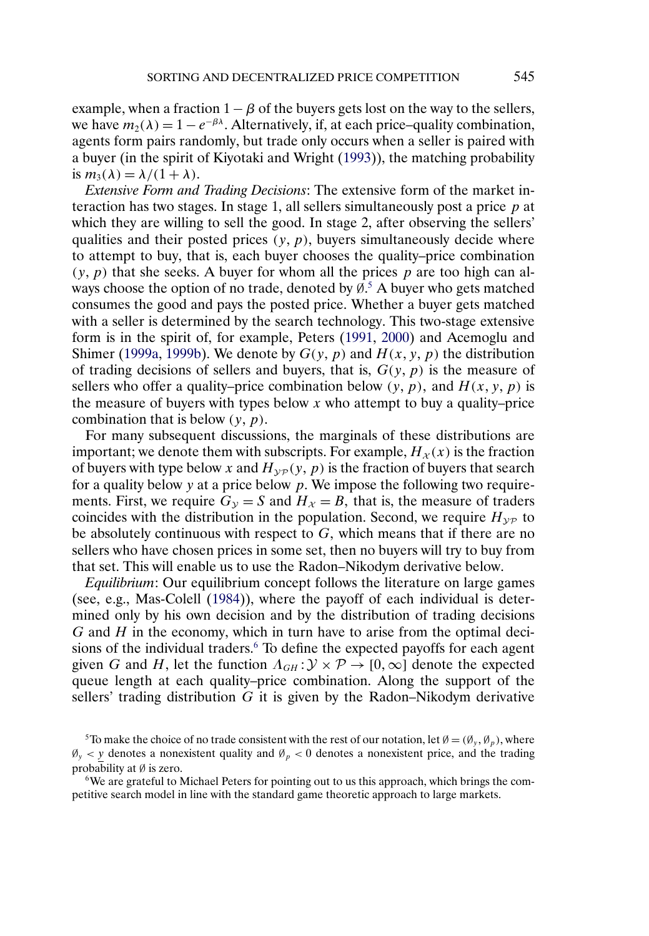<span id="page-6-0"></span>example, when a fraction  $1 - \beta$  of the buyers gets lost on the way to the sellers, we have  $m_2(\lambda) = 1 - e^{-\beta \lambda}$ . Alternatively, if, at each price–quality combination, agents form pairs randomly, but trade only occurs when a seller is paired with a buyer (in the spirit of Kiyotaki and Wright [\(1993\)](#page-34-0)), the matching probability is  $m_3(\lambda) = \lambda/(1 + \lambda)$ .

*Extensive Form and Trading Decisions*: The extensive form of the market interaction has two stages. In stage 1, all sellers simultaneously post a price  $p$  at which they are willing to sell the good. In stage 2, after observing the sellers' qualities and their posted prices  $(y, p)$ , buyers simultaneously decide where to attempt to buy, that is, each buyer chooses the quality–price combination  $(y, p)$  that she seeks. A buyer for whom all the prices p are too high can always choose the option of no trade, denoted by  $\emptyset$ .<sup>5</sup> A buyer who gets matched consumes the good and pays the posted price. Whether a buyer gets matched with a seller is determined by the search technology. This two-stage extensive form is in the spirit of, for example, Peters [\(1991,](#page-35-0) [2000\)](#page-35-0) and Acemoglu and Shimer [\(1999a,](#page-34-0) [1999b\)](#page-34-0). We denote by  $G(y, p)$  and  $H(x, y, p)$  the distribution of trading decisions of sellers and buyers, that is,  $G(y, p)$  is the measure of sellers who offer a quality–price combination below  $(y, p)$ , and  $H(x, y, p)$  is the measure of buyers with types below  $x$  who attempt to buy a quality–price combination that is below  $(y, p)$ .

For many subsequent discussions, the marginals of these distributions are important; we denote them with subscripts. For example,  $H<sub>x</sub>(x)$  is the fraction of buyers with type below x and  $H_{\mathcal{VP}}(y, p)$  is the fraction of buyers that search for a quality below y at a price below  $p$ . We impose the following two requirements. First, we require  $G_y = S$  and  $H_x = B$ , that is, the measure of traders coincides with the distribution in the population. Second, we require  $H_{\gamma\gamma}$  to be absolutely continuous with respect to  $G$ , which means that if there are no sellers who have chosen prices in some set, then no buyers will try to buy from that set. This will enable us to use the Radon–Nikodym derivative below.

*Equilibrium*: Our equilibrium concept follows the literature on large games (see, e.g., Mas-Colell [\(1984\)](#page-34-0)), where the payoff of each individual is determined only by his own decision and by the distribution of trading decisions  $G$  and  $H$  in the economy, which in turn have to arise from the optimal decisions of the individual traders.<sup>6</sup> To define the expected payoffs for each agent given G and H, let the function  $\Lambda_{GH}$ :  $\mathcal{Y} \times \mathcal{P} \to [0,\infty]$  denote the expected queue length at each quality–price combination. Along the support of the sellers' trading distribution  $G$  it is given by the Radon–Nikodym derivative

6We are grateful to Michael Peters for pointing out to us this approach, which brings the competitive search model in line with the standard game theoretic approach to large markets.

<sup>&</sup>lt;sup>5</sup>To make the choice of no trade consistent with the rest of our notation, let  $\emptyset = (\emptyset_v, \emptyset_v)$ , where  $\varnothing_y$  < y denotes a nonexistent quality and  $\varnothing_p$  < 0 denotes a nonexistent price, and the trading probability at ∅ is zero.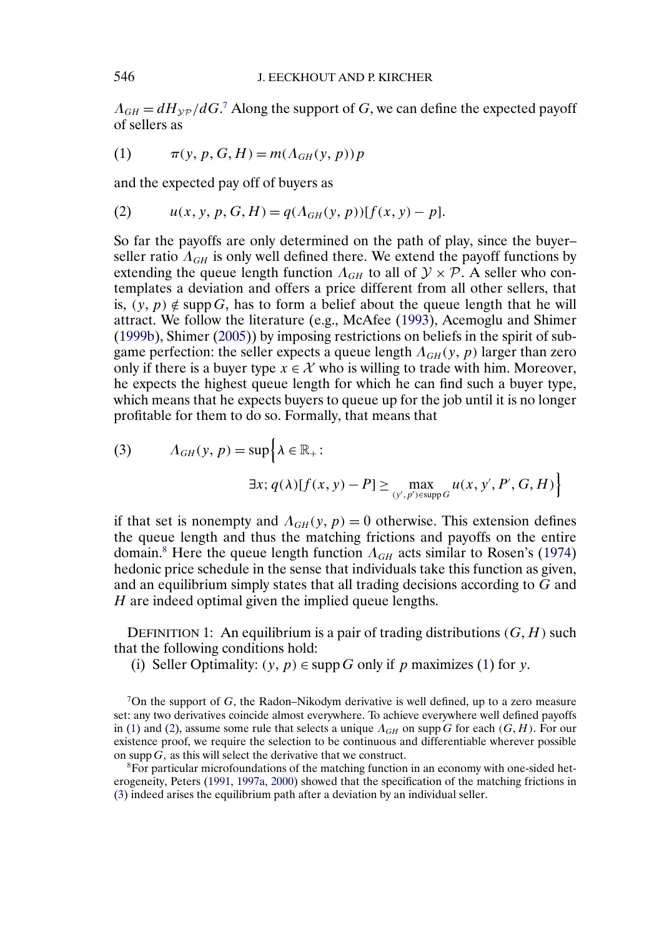$\Lambda_{GH} = dH_{\mathcal{YP}}/dG$ .<sup>7</sup> Along the support of G, we can define the expected payoff of sellers as

$$
(1) \qquad \pi(y, p, G, H) = m(\Lambda_{GH}(y, p))p
$$

and the expected pay off of buyers as

(2) 
$$
u(x, y, p, G, H) = q(\Lambda_{GH}(y, p))[f(x, y) - p].
$$

So far the payoffs are only determined on the path of play, since the buyer– seller ratio  $\Lambda_{GH}$  is only well defined there. We extend the payoff functions by extending the queue length function  $\Lambda_{GH}$  to all of  $\mathcal{Y} \times \mathcal{P}$ . A seller who contemplates a deviation and offers a price different from all other sellers, that is,  $(y, p) \notin \text{supp } G$ , has to form a belief about the queue length that he will attract. We follow the literature (e.g., McAfee [\(1993\)](#page-34-0), Acemoglu and Shimer [\(1999b\)](#page-34-0), Shimer [\(2005\)](#page-35-0)) by imposing restrictions on beliefs in the spirit of subgame perfection: the seller expects a queue length  $\Lambda_{GH}(y, p)$  larger than zero only if there is a buyer type  $x \in \mathcal{X}$  who is willing to trade with him. Moreover, he expects the highest queue length for which he can find such a buyer type, which means that he expects buyers to queue up for the job until it is no longer profitable for them to do so. Formally, that means that

(3) 
$$
\Lambda_{GH}(y, p) = \sup \Big\{ \lambda \in \mathbb{R}_+ : \\ \exists x; q(\lambda) [f(x, y) - P] \ge \max_{(y', p') \in \text{supp } G} u(x, y', P', G, H) \Big\}
$$

if that set is nonempty and  $\Lambda_{GH}(y, p) = 0$  otherwise. This extension defines the queue length and thus the matching frictions and payoffs on the entire domain.<sup>8</sup> Here the queue length function  $\Lambda_{GH}$  acts similar to Rosen's [\(1974\)](#page-35-0) hedonic price schedule in the sense that individuals take this function as given, and an equilibrium simply states that all trading decisions according to G and  $H$  are indeed optimal given the implied queue lengths.

DEFINITION 1: An equilibrium is a pair of trading distributions  $(G, H)$  such that the following conditions hold:

(i) Seller Optimality:  $(y, p) \in \text{supp } G$  only if p maximizes (1) for y.

<sup>7</sup>On the support of G, the Radon–Nikodym derivative is well defined, up to a zero measure set: any two derivatives coincide almost everywhere. To achieve everywhere well defined payoffs in (1) and (2), assume some rule that selects a unique  $\Lambda_{GH}$  on supp G for each (G, H). For our existence proof, we require the selection to be continuous and differentiable wherever possible on supp  $G$ , as this will select the derivative that we construct.

8For particular microfoundations of the matching function in an economy with one-sided heterogeneity, Peters [\(1991,](#page-35-0) [1997a,](#page-35-0) [2000\)](#page-35-0) showed that the specification of the matching frictions in (3) indeed arises the equilibrium path after a deviation by an individual seller.

<span id="page-7-0"></span>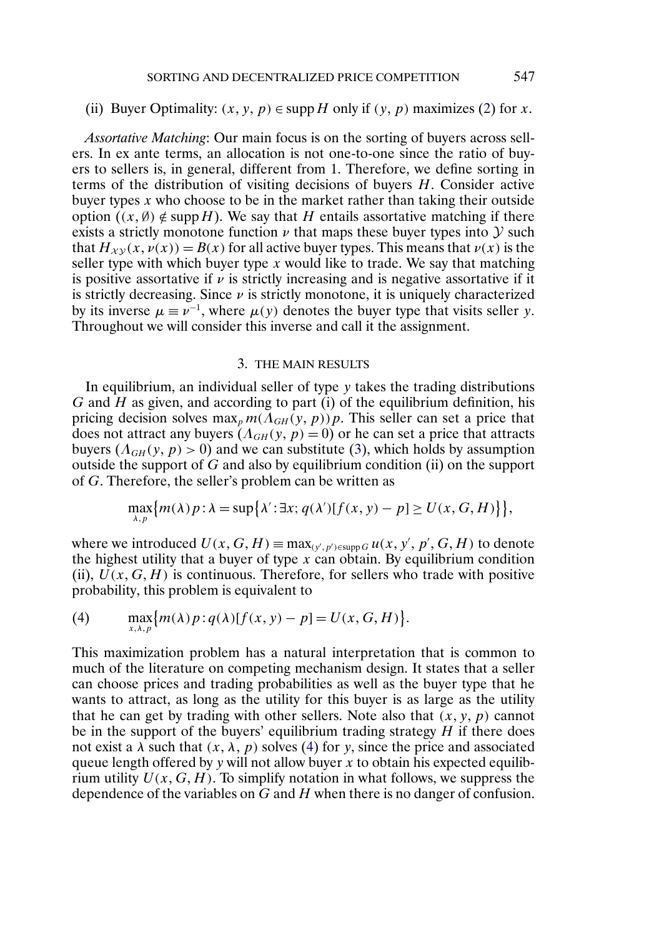## <span id="page-8-0"></span>(ii) Buyer Optimality:  $(x, y, p) \in \text{supp } H$  only if  $(y, p)$  maximizes [\(2\)](#page-7-0) for x.

*Assortative Matching*: Our main focus is on the sorting of buyers across sellers. In ex ante terms, an allocation is not one-to-one since the ratio of buyers to sellers is, in general, different from 1. Therefore, we define sorting in terms of the distribution of visiting decisions of buyers H. Consider active buyer types  $x$  who choose to be in the market rather than taking their outside option  $((x, \emptyset) \notin \text{supp } H)$ . We say that H entails assortative matching if there exists a strictly monotone function  $\nu$  that maps these buyer types into  $\mathcal Y$  such that  $H_{\chi \nu}(x, \nu(x)) = B(x)$  for all active buyer types. This means that  $\nu(x)$  is the seller type with which buyer type x would like to trade. We say that matching is positive assortative if  $\nu$  is strictly increasing and is negative assortative if it is strictly decreasing. Since  $\nu$  is strictly monotone, it is uniquely characterized by its inverse  $\mu \equiv \nu^{-1}$ , where  $\mu(y)$  denotes the buyer type that visits seller y. Throughout we will consider this inverse and call it the assignment.

### 3. THE MAIN RESULTS

In equilibrium, an individual seller of type y takes the trading distributions G and  $H$  as given, and according to part (i) of the equilibrium definition, his pricing decision solves  $\max_p m(A_{GH}(y, p))p$ . This seller can set a price that does not attract any buyers  $(A_{GH}(y, p) = 0)$  or he can set a price that attracts buyers  $(A_{GH}(y, p) > 0)$  and we can substitute [\(3\)](#page-7-0), which holds by assumption outside the support of  $G$  and also by equilibrium condition (ii) on the support of G. Therefore, the seller's problem can be written as

$$
\max_{\lambda, p} \{m(\lambda)p : \lambda = \sup \{ \lambda' : \exists x; q(\lambda') [f(x, y) - p] \ge U(x, G, H) \} \},
$$

where we introduced  $U(x, G, H) \equiv \max_{(y', p') \in \text{supp } G} u(x, y', p', G, H)$  to denote the highest utility that a buyer of type  $x$  can obtain. By equilibrium condition (ii),  $U(x, G, H)$  is continuous. Therefore, for sellers who trade with positive probability, this problem is equivalent to

(4) 
$$
\max_{x,\lambda,p} \{m(\lambda)p:q(\lambda)[f(x,y)-p]=U(x,G,H)\}.
$$

This maximization problem has a natural interpretation that is common to much of the literature on competing mechanism design. It states that a seller can choose prices and trading probabilities as well as the buyer type that he wants to attract, as long as the utility for this buyer is as large as the utility that he can get by trading with other sellers. Note also that  $(x, y, p)$  cannot be in the support of the buyers' equilibrium trading strategy  $H$  if there does not exist a  $\lambda$  such that  $(x, \lambda, p)$  solves (4) for y, since the price and associated queue length offered by y will not allow buyer x to obtain his expected equilibrium utility  $U(x, G, H)$ . To simplify notation in what follows, we suppress the dependence of the variables on  $G$  and  $H$  when there is no danger of confusion.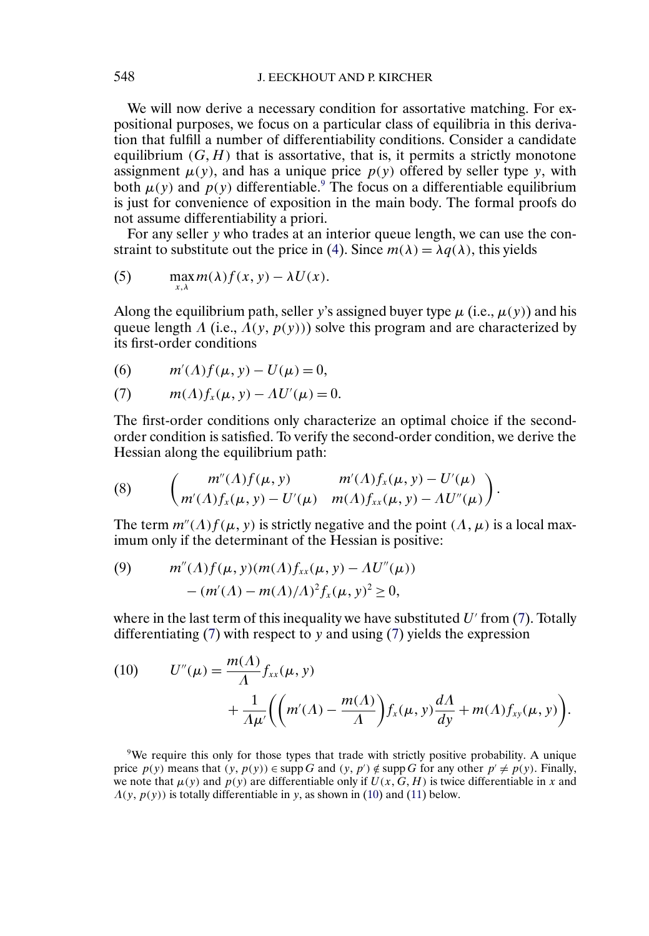<span id="page-9-0"></span>We will now derive a necessary condition for assortative matching. For expositional purposes, we focus on a particular class of equilibria in this derivation that fulfill a number of differentiability conditions. Consider a candidate equilibrium  $(G, H)$  that is assortative, that is, it permits a strictly monotone assignment  $\mu(y)$ , and has a unique price  $p(y)$  offered by seller type y, with both  $\mu(y)$  and  $p(y)$  differentiable.<sup>9</sup> The focus on a differentiable equilibrium is just for convenience of exposition in the main body. The formal proofs do not assume differentiability a priori.

For any seller y who trades at an interior queue length, we can use the con-straint to substitute out the price in [\(4\)](#page-8-0). Since  $m(\lambda) = \lambda q(\lambda)$ , this yields

(5) 
$$
\max_{x,\lambda} m(\lambda) f(x, y) - \lambda U(x).
$$

Along the equilibrium path, seller y's assigned buyer type  $\mu$  (i.e.,  $\mu$ (y)) and his queue length  $\Lambda$  (i.e.,  $\Lambda(y, p(y))$ ) solve this program and are characterized by its first-order conditions

$$
(6) \qquad m'(\Lambda)f(\mu, y) - U(\mu) = 0,
$$

(7) 
$$
m(\Lambda)f_x(\mu, y) - \Lambda U'(\mu) = 0.
$$

The first-order conditions only characterize an optimal choice if the secondorder condition is satisfied. To verify the second-order condition, we derive the Hessian along the equilibrium path:

(8) 
$$
\begin{pmatrix} m''(\Lambda)f(\mu, y) & m'(\Lambda)f_x(\mu, y) - U'(\mu) \\ m'(\Lambda)f_x(\mu, y) - U'(\mu) & m(\Lambda)f_{xx}(\mu, y) - \Lambda U''(\mu) \end{pmatrix}.
$$

The term  $m''(\Lambda) f(\mu, y)$  is strictly negative and the point  $(\Lambda, \mu)$  is a local maximum only if the determinant of the Hessian is positive:

(9) 
$$
m''(\Lambda) f(\mu, y) (m(\Lambda) f_{xx}(\mu, y) - \Lambda U''(\mu)) - (m'(\Lambda) - m(\Lambda)/\Lambda)^2 f_x(\mu, y)^2 \ge 0,
$$

where in the last term of this inequality we have substituted  $U'$  from (7). Totally differentiating  $(7)$  with respect to y and using  $(7)$  yields the expression

(10) 
$$
U''(\mu) = \frac{m(\Lambda)}{\Lambda} f_{xx}(\mu, y) + \frac{1}{\Lambda \mu'} \bigg( \bigg( m'(\Lambda) - \frac{m(\Lambda)}{\Lambda} \bigg) f_x(\mu, y) \frac{d\Lambda}{dy} + m(\Lambda) f_{xy}(\mu, y) \bigg).
$$

<sup>9</sup>We require this only for those types that trade with strictly positive probability. A unique price  $p(y)$  means that  $(y, p(y)) \in \text{supp } G$  and  $(y, p') \notin \text{supp } G$  for any other  $p' \neq p(y)$ . Finally, we note that  $\mu(y)$  and  $p(y)$  are differentiable only if  $U(x, G, H)$  is twice differentiable in x and  $\Lambda(y, p(y))$  is totally differentiable in y, as shown in (10) and [\(11\)](#page-10-0) below.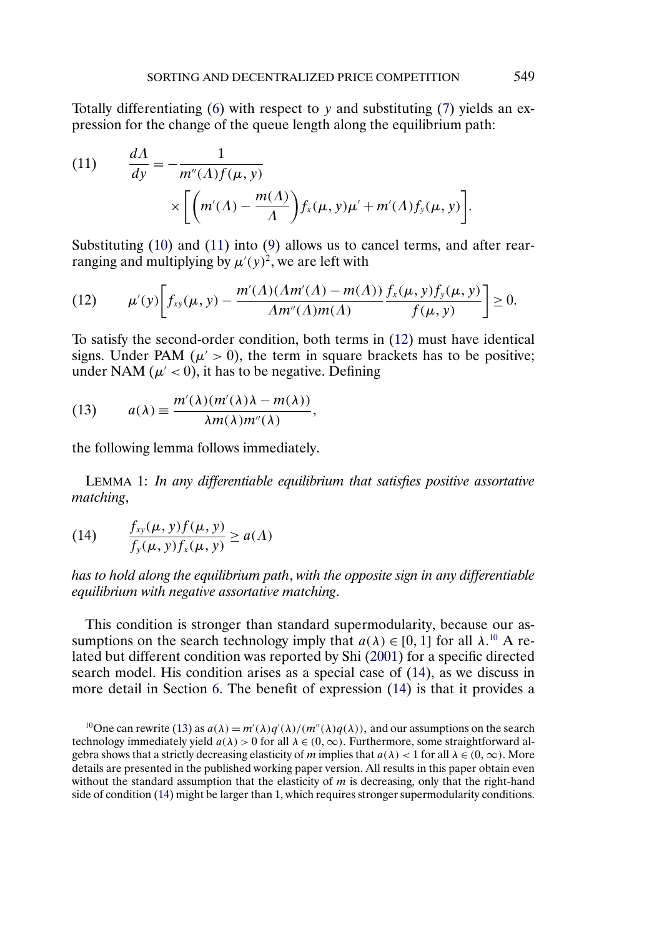<span id="page-10-0"></span>Totally differentiating [\(6\)](#page-9-0) with respect to y and substituting [\(7\)](#page-9-0) yields an expression for the change of the queue length along the equilibrium path:

(11) 
$$
\frac{dA}{dy} = -\frac{1}{m''(\Lambda)f(\mu, y)} \times \left[ \left( m'(\Lambda) - \frac{m(\Lambda)}{\Lambda} \right) f_x(\mu, y) \mu' + m'(\Lambda) f_y(\mu, y) \right].
$$

Substituting [\(10\)](#page-9-0) and (11) into [\(9\)](#page-9-0) allows us to cancel terms, and after rearranging and multiplying by  $\mu'(y)^2$ , we are left with

(12) 
$$
\mu'(y) \bigg[ f_{xy}(\mu, y) - \frac{m'(\Lambda)(\Lambda m'(\Lambda) - m(\Lambda))}{\Lambda m''(\Lambda) m(\Lambda)} \frac{f_x(\mu, y) f_y(\mu, y)}{f(\mu, y)} \bigg] \ge 0.
$$

To satisfy the second-order condition, both terms in (12) must have identical signs. Under PAM ( $\mu$ ' > 0), the term in square brackets has to be positive; under NAM ( $\mu$ ' < 0), it has to be negative. Defining

(13) 
$$
a(\lambda) \equiv \frac{m'(\lambda)(m'(\lambda)\lambda - m(\lambda))}{\lambda m(\lambda)m''(\lambda)},
$$

the following lemma follows immediately.

LEMMA 1: *In any differentiable equilibrium that satisfies positive assortative matching*,

$$
(14) \qquad \frac{f_{xy}(\mu, y)f(\mu, y)}{f_y(\mu, y)f_x(\mu, y)} \ge a(\Lambda)
$$

*has to hold along the equilibrium path*, *with the opposite sign in any differentiable equilibrium with negative assortative matching*.

This condition is stronger than standard supermodularity, because our assumptions on the search technology imply that  $a(\lambda) \in [0, 1]$  for all  $\lambda$ .<sup>10</sup> A related but different condition was reported by Shi [\(2001\)](#page-35-0) for a specific directed search model. His condition arises as a special case of (14), as we discuss in more detail in Section [6.](#page-18-0) The benefit of expression (14) is that it provides a

<sup>&</sup>lt;sup>10</sup>One can rewrite (13) as  $a(\lambda) = m'(\lambda)q'(\lambda)/(m''(\lambda)q(\lambda))$ , and our assumptions on the search technology immediately yield  $a(\lambda) > 0$  for all  $\lambda \in (0, \infty)$ . Furthermore, some straightforward algebra shows that a strictly decreasing elasticity of m implies that  $a(\lambda) < 1$  for all  $\lambda \in (0, \infty)$ . More details are presented in the published working paper version. All results in this paper obtain even without the standard assumption that the elasticity of  $m$  is decreasing, only that the right-hand side of condition (14) might be larger than 1, which requires stronger supermodularity conditions.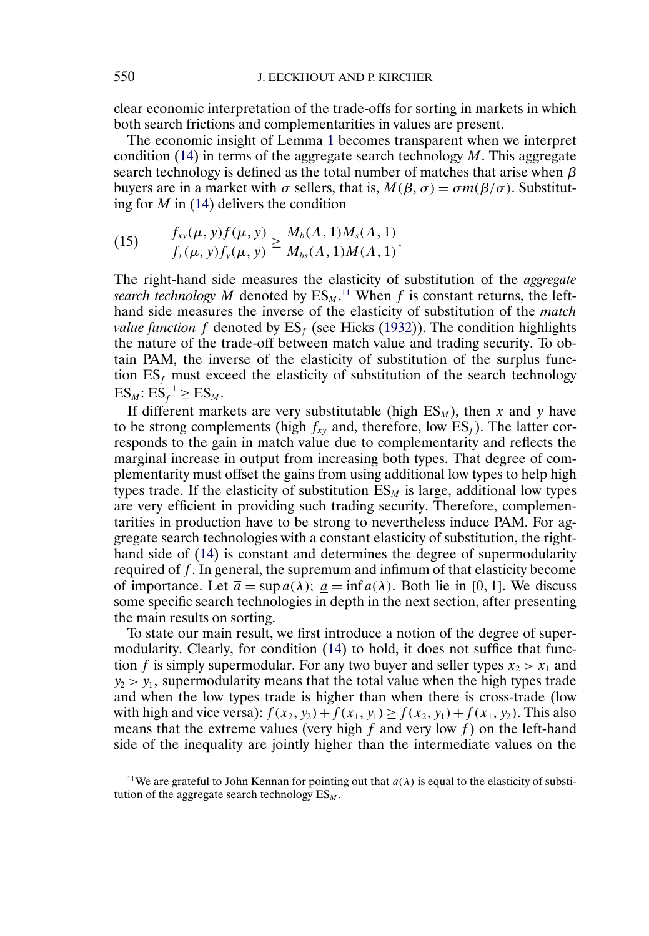<span id="page-11-0"></span>clear economic interpretation of the trade-offs for sorting in markets in which both search frictions and complementarities in values are present.

The economic insight of Lemma [1](#page-10-0) becomes transparent when we interpret condition  $(14)$  in terms of the aggregate search technology M. This aggregate search technology is defined as the total number of matches that arise when  $\beta$ buyers are in a market with  $\sigma$  sellers, that is,  $M(\beta, \sigma) = \sigma m(\beta/\sigma)$ . Substituting for  $M$  in [\(14\)](#page-10-0) delivers the condition

(15) 
$$
\frac{f_{xy}(\mu, y)f(\mu, y)}{f_x(\mu, y)f_y(\mu, y)} \ge \frac{M_b(\Lambda, 1)M_s(\Lambda, 1)}{M_{bs}(\Lambda, 1)M(\Lambda, 1)}.
$$

The right-hand side measures the elasticity of substitution of the *aggregate* search technology M denoted by  $ES_M$ .<sup>11</sup> When f is constant returns, the lefthand side measures the inverse of the elasticity of substitution of the *match value function* f denoted by  $ES_f$  (see Hicks [\(1932\)](#page-34-0)). The condition highlights the nature of the trade-off between match value and trading security. To obtain PAM, the inverse of the elasticity of substitution of the surplus function  $ES_f$  must exceed the elasticity of substitution of the search technology  $\text{ES}_M$ :  $\text{ES}_f^{-1} \geq \text{ES}_M$ .

If different markets are very substitutable (high  $ES_M$ ), then x and y have to be strong complements (high  $f_{xy}$  and, therefore, low  $ES_f$ ). The latter corresponds to the gain in match value due to complementarity and reflects the marginal increase in output from increasing both types. That degree of complementarity must offset the gains from using additional low types to help high types trade. If the elasticity of substitution  $ES_M$  is large, additional low types are very efficient in providing such trading security. Therefore, complementarities in production have to be strong to nevertheless induce PAM. For aggregate search technologies with a constant elasticity of substitution, the righthand side of [\(14\)](#page-10-0) is constant and determines the degree of supermodularity required of  $f$ . In general, the supremum and infimum of that elasticity become of importance. Let  $\overline{a} = \sup a(\lambda); a = \inf a(\lambda)$ . Both lie in [0, 1]. We discuss some specific search technologies in depth in the next section, after presenting the main results on sorting.

To state our main result, we first introduce a notion of the degree of supermodularity. Clearly, for condition [\(14\)](#page-10-0) to hold, it does not suffice that function f is simply supermodular. For any two buyer and seller types  $x_2 > x_1$  and  $y_2 > y_1$ , supermodularity means that the total value when the high types trade and when the low types trade is higher than when there is cross-trade (low with high and vice versa):  $f(x_2, y_1) + f(x_1, y_1) \ge f(x_2, y_1) + f(x_1, y_2)$ . This also means that the extreme values (very high  $f$  and very low  $f$ ) on the left-hand side of the inequality are jointly higher than the intermediate values on the

<sup>11</sup>We are grateful to John Kennan for pointing out that  $a(\lambda)$  is equal to the elasticity of substitution of the aggregate search technology  $ES_M$ .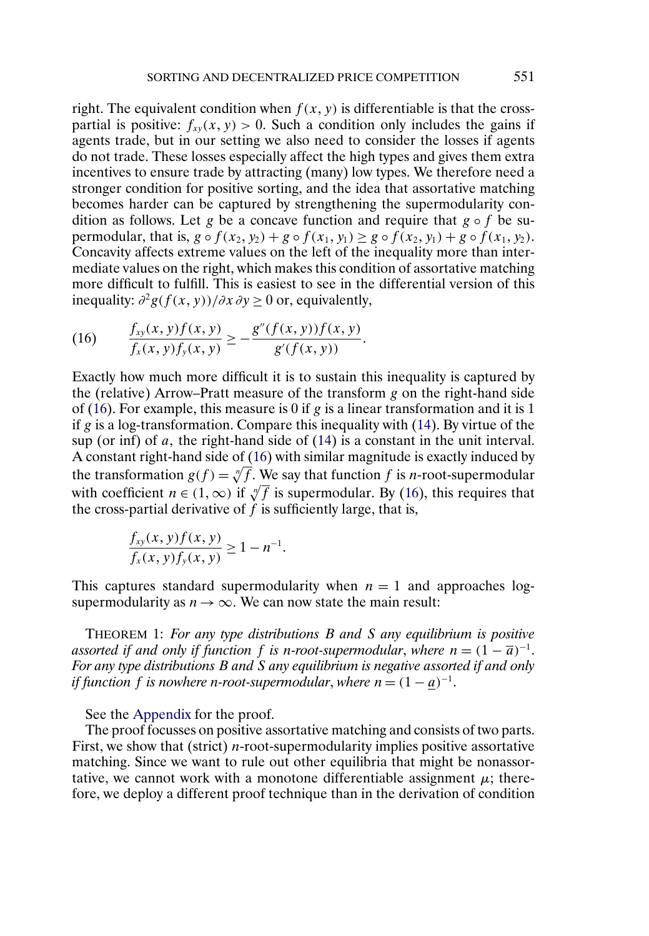<span id="page-12-0"></span>right. The equivalent condition when  $f(x, y)$  is differentiable is that the crosspartial is positive:  $f_{xy}(x, y) > 0$ . Such a condition only includes the gains if agents trade, but in our setting we also need to consider the losses if agents do not trade. These losses especially affect the high types and gives them extra incentives to ensure trade by attracting (many) low types. We therefore need a stronger condition for positive sorting, and the idea that assortative matching becomes harder can be captured by strengthening the supermodularity condition as follows. Let g be a concave function and require that  $g \circ f$  be supermodular, that is,  $g \circ f(x_2, y_2) + g \circ f(x_1, y_1) \ge g \circ f(x_2, y_1) + g \circ f(x_1, y_2)$ . Concavity affects extreme values on the left of the inequality more than intermediate values on the right, which makes this condition of assortative matching more difficult to fulfill. This is easiest to see in the differential version of this inequality:  $\frac{\partial^2 g(f(x, y))}{\partial x \partial y} \ge 0$  or, equivalently,

(16) 
$$
\frac{f_{xy}(x, y)f(x, y)}{f_x(x, y)f_y(x, y)} \geq -\frac{g''(f(x, y))f(x, y)}{g'(f(x, y))}.
$$

Exactly how much more difficult it is to sustain this inequality is captured by the (relative) Arrow–Pratt measure of the transform g on the right-hand side of (16). For example, this measure is 0 if g is a linear transformation and it is 1 if  $g$  is a log-transformation. Compare this inequality with  $(14)$ . By virtue of the sup (or inf) of  $a$ , the right-hand side of  $(14)$  is a constant in the unit interval. A constant right-hand side of (16) with similar magnitude is exactly induced by the transformation  $g(f) = \sqrt[n]{f}$ . We say that function f is *n*-root-supermodular with coefficient  $n \in (1,\infty)$  if  $\sqrt[n]{f}$  is supermodular. By (16), this requires that the cross-partial derivative of  $f$  is sufficiently large, that is,

$$
\frac{f_{xy}(x, y)f(x, y)}{f_x(x, y)f_y(x, y)} \ge 1 - n^{-1}.
$$

This captures standard supermodularity when  $n = 1$  and approaches logsupermodularity as  $n \to \infty$ . We can now state the main result:

THEOREM 1: *For any type distributions* B *and* S *any equilibrium is positive assorted if and only if function* f *is n-root-supermodular, where*  $n = (1 - \overline{a})^{-1}$ . *For any type distributions* B *and* S *any equilibrium is negative assorted if and only if function* f *is nowhere n-root-supermodular, where*  $n = (1 - a)^{-1}$ .

See the [Appendix](#page-24-0) for the proof.

The proof focusses on positive assortative matching and consists of two parts. First, we show that (strict)  $n$ -root-supermodularity implies positive assortative matching. Since we want to rule out other equilibria that might be nonassortative, we cannot work with a monotone differentiable assignment  $\mu$ ; therefore, we deploy a different proof technique than in the derivation of condition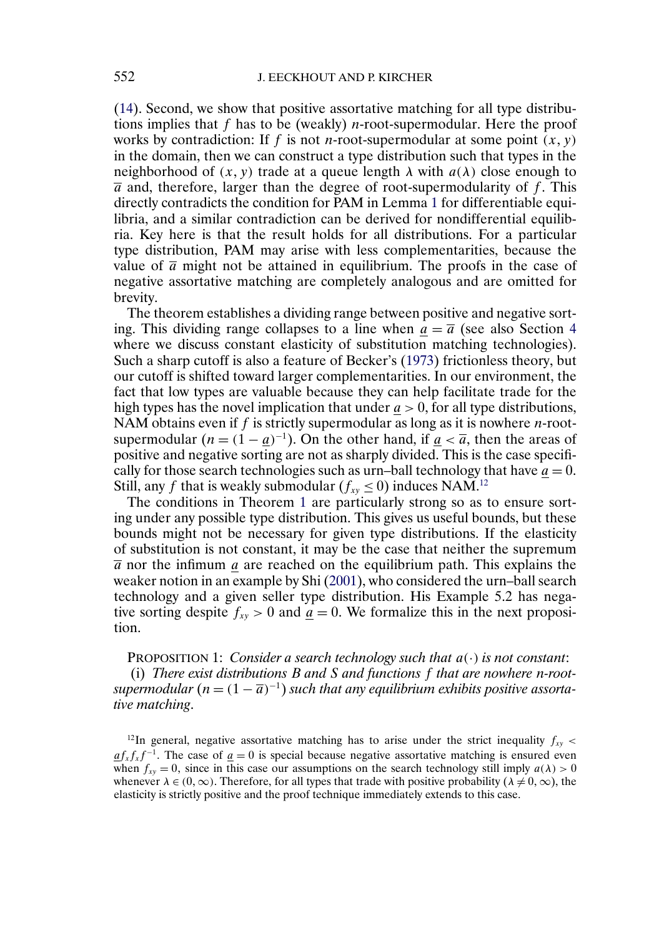<span id="page-13-0"></span>[\(14\)](#page-10-0). Second, we show that positive assortative matching for all type distributions implies that  $f$  has to be (weakly) *n*-root-supermodular. Here the proof works by contradiction: If f is not *n*-root-supermodular at some point  $(x, y)$ in the domain, then we can construct a type distribution such that types in the neighborhood of  $(x, y)$  trade at a queue length  $\lambda$  with  $a(\lambda)$  close enough to  $\overline{a}$  and, therefore, larger than the degree of root-supermodularity of f. This directly contradicts the condition for PAM in Lemma [1](#page-10-0) for differentiable equilibria, and a similar contradiction can be derived for nondifferential equilibria. Key here is that the result holds for all distributions. For a particular type distribution, PAM may arise with less complementarities, because the value of  $\overline{a}$  might not be attained in equilibrium. The proofs in the case of negative assortative matching are completely analogous and are omitted for brevity.

The theorem establishes a dividing range between positive and negative sorting. This dividing range collapses to a line when  $a = \overline{a}$  (see also Section [4](#page-14-0)) where we discuss constant elasticity of substitution matching technologies). Such a sharp cutoff is also a feature of Becker's [\(1973\)](#page-34-0) frictionless theory, but our cutoff is shifted toward larger complementarities. In our environment, the fact that low types are valuable because they can help facilitate trade for the high types has the novel implication that under  $a > 0$ , for all type distributions, NAM obtains even if  $f$  is strictly supermodular as long as it is nowhere *n*-rootsupermodular ( $n = (1 - a)^{-1}$ ). On the other hand, if  $a < \overline{a}$ , then the areas of positive and negative sorting are not as sharply divided. This is the case specifically for those search technologies such as urn–ball technology that have  $\underline{a} = 0$ . Still, any f that is weakly submodular ( $f_{xy} \le 0$ ) induces NAM.<sup>12</sup>

The conditions in Theorem [1](#page-12-0) are particularly strong so as to ensure sorting under any possible type distribution. This gives us useful bounds, but these bounds might not be necessary for given type distributions. If the elasticity of substitution is not constant, it may be the case that neither the supremum  $\overline{a}$  nor the infimum *a* are reached on the equilibrium path. This explains the weaker notion in an example by Shi [\(2001\)](#page-35-0), who considered the urn–ball search technology and a given seller type distribution. His Example 5.2 has negative sorting despite  $f_{xy} > 0$  and  $\underline{a} = 0$ . We formalize this in the next proposition.

PROPOSITION 1: *Consider a search technology such that*  $a(\cdot)$  *is not constant*:

(i) *There exist distributions* B *and* S *and functions* f *that are nowhere* n*-rootsupermodular*  $(n = (1 - \overline{a})^{-1})$  *such that any equilibrium exhibits positive assortative matching*.

<sup>12</sup>In general, negative assortative matching has to arise under the strict inequality  $f_{xy}$  <  $a f_x f_x f^{-1}$ . The case of  $a = 0$  is special because negative assortative matching is ensured even when  $f_{xy} = 0$ , since in this case our assumptions on the search technology still imply  $a(\lambda) > 0$ whenever  $\lambda \in (0,\infty)$ . Therefore, for all types that trade with positive probability ( $\lambda \neq 0,\infty$ ), the elasticity is strictly positive and the proof technique immediately extends to this case.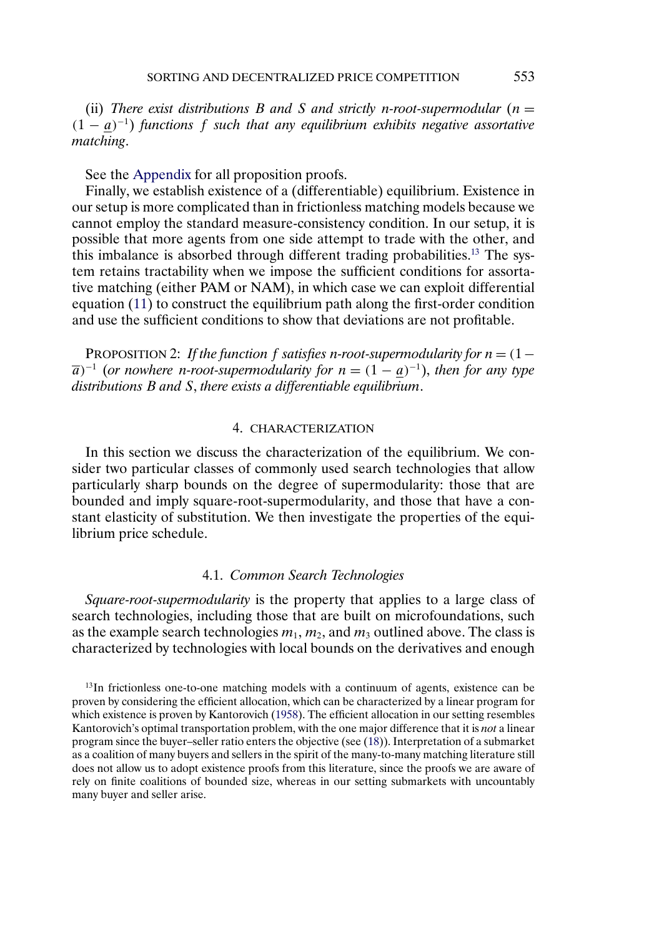<span id="page-14-0"></span>(ii) *There exist distributions B and S and strictly n-root-supermodular*  $(n =$ (1 − a)<sup>−</sup>1) *functions* f *such that any equilibrium exhibits negative assortative matching*.

See the [Appendix](#page-24-0) for all proposition proofs.

Finally, we establish existence of a (differentiable) equilibrium. Existence in our setup is more complicated than in frictionless matching models because we cannot employ the standard measure-consistency condition. In our setup, it is possible that more agents from one side attempt to trade with the other, and this imbalance is absorbed through different trading probabilities.13 The system retains tractability when we impose the sufficient conditions for assortative matching (either PAM or NAM), in which case we can exploit differential equation [\(11\)](#page-10-0) to construct the equilibrium path along the first-order condition and use the sufficient conditions to show that deviations are not profitable.

PROPOSITION 2: *If the function* f *satisfies* n*-root-supermodularity for* n = (1−  $\overline{a}$ )<sup>-1</sup> (*or nowhere n-root-supermodularity for*  $n = (1 - a)^{-1}$ *), then for any type distributions* B *and* S, *there exists a differentiable equilibrium*.

### 4. CHARACTERIZATION

In this section we discuss the characterization of the equilibrium. We consider two particular classes of commonly used search technologies that allow particularly sharp bounds on the degree of supermodularity: those that are bounded and imply square-root-supermodularity, and those that have a constant elasticity of substitution. We then investigate the properties of the equilibrium price schedule.

#### 4.1. *Common Search Technologies*

*Square-root-supermodularity* is the property that applies to a large class of search technologies, including those that are built on microfoundations, such as the example search technologies  $m_1$ ,  $m_2$ , and  $m_3$  outlined above. The class is characterized by technologies with local bounds on the derivatives and enough

<sup>&</sup>lt;sup>13</sup>In frictionless one-to-one matching models with a continuum of agents, existence can be proven by considering the efficient allocation, which can be characterized by a linear program for which existence is proven by Kantorovich [\(1958\)](#page-34-0). The efficient allocation in our setting resembles Kantorovich's optimal transportation problem, with the one major difference that it is *not* a linear program since the buyer–seller ratio enters the objective (see [\(18\)](#page-17-0)). Interpretation of a submarket as a coalition of many buyers and sellers in the spirit of the many-to-many matching literature still does not allow us to adopt existence proofs from this literature, since the proofs we are aware of rely on finite coalitions of bounded size, whereas in our setting submarkets with uncountably many buyer and seller arise.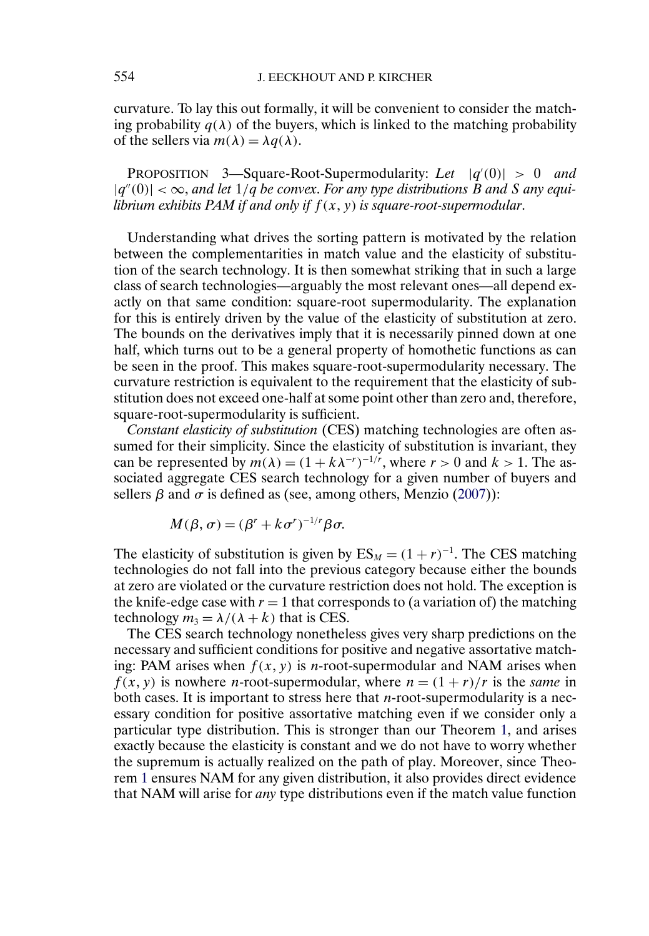<span id="page-15-0"></span>curvature. To lay this out formally, it will be convenient to consider the matching probability  $q(\lambda)$  of the buyers, which is linked to the matching probability of the sellers via  $m(\lambda) = \lambda q(\lambda)$ .

PROPOSITION 3—Square-Root-Supermodularity: Let  $|q'(0)| > 0$  and  $|q''(0)| < \infty$ , and let  $1/q$  be convex. For any type distributions B and S any equi*librium exhibits PAM if and only if*  $f(x, y)$  *is square-root-supermodular.* 

Understanding what drives the sorting pattern is motivated by the relation between the complementarities in match value and the elasticity of substitution of the search technology. It is then somewhat striking that in such a large class of search technologies—arguably the most relevant ones—all depend exactly on that same condition: square-root supermodularity. The explanation for this is entirely driven by the value of the elasticity of substitution at zero. The bounds on the derivatives imply that it is necessarily pinned down at one half, which turns out to be a general property of homothetic functions as can be seen in the proof. This makes square-root-supermodularity necessary. The curvature restriction is equivalent to the requirement that the elasticity of substitution does not exceed one-half at some point other than zero and, therefore, square-root-supermodularity is sufficient.

*Constant elasticity of substitution* (CES) matching technologies are often assumed for their simplicity. Since the elasticity of substitution is invariant, they can be represented by  $m(\lambda) = (1 + k\lambda^{-r})^{-1/r}$ , where  $r > 0$  and  $k > 1$ . The associated aggregate CES search technology for a given number of buyers and sellers  $\beta$  and  $\sigma$  is defined as (see, among others, Menzio [\(2007\)](#page-34-0)):

$$
M(\beta,\sigma)=(\beta^r+k\sigma^r)^{-1/r}\beta\sigma.
$$

The elasticity of substitution is given by  $ES_M = (1 + r)^{-1}$ . The CES matching technologies do not fall into the previous category because either the bounds at zero are violated or the curvature restriction does not hold. The exception is the knife-edge case with  $r = 1$  that corresponds to (a variation of) the matching technology  $m_3 = \lambda/(\lambda + k)$  that is CES.

The CES search technology nonetheless gives very sharp predictions on the necessary and sufficient conditions for positive and negative assortative matching: PAM arises when  $f(x, y)$  is *n*-root-supermodular and NAM arises when  $f(x, y)$  is nowhere *n*-root-supermodular, where  $n = (1 + r)/r$  is the *same* in both cases. It is important to stress here that  $n$ -root-supermodularity is a necessary condition for positive assortative matching even if we consider only a particular type distribution. This is stronger than our Theorem [1,](#page-12-0) and arises exactly because the elasticity is constant and we do not have to worry whether the supremum is actually realized on the path of play. Moreover, since Theorem [1](#page-12-0) ensures NAM for any given distribution, it also provides direct evidence that NAM will arise for *any* type distributions even if the match value function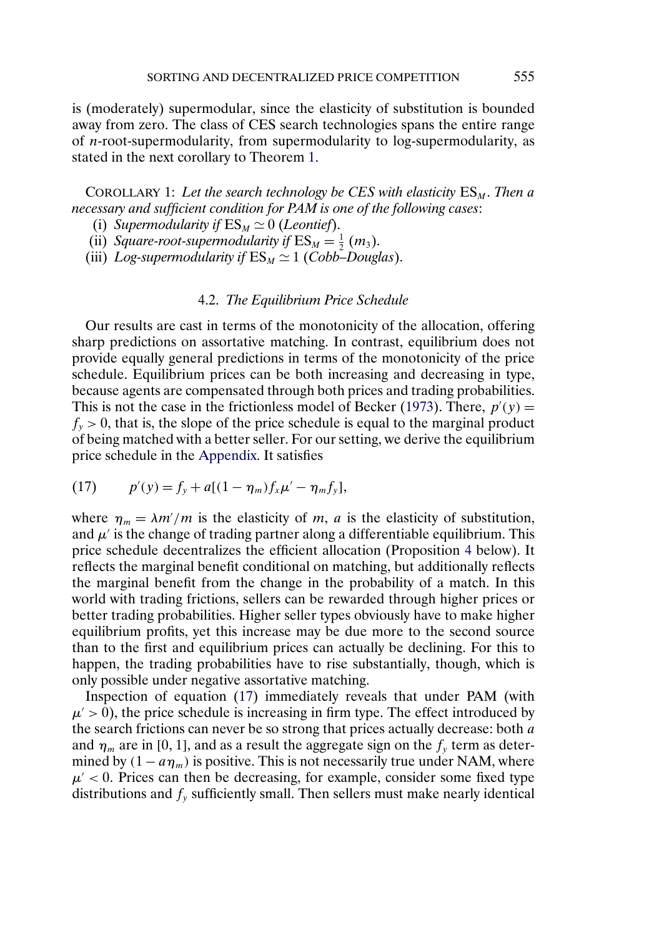<span id="page-16-0"></span>is (moderately) supermodular, since the elasticity of substitution is bounded away from zero. The class of CES search technologies spans the entire range of n-root-supermodularity, from supermodularity to log-supermodularity, as stated in the next corollary to Theorem [1.](#page-12-0)

COROLLARY 1: Let the search technology be CES with elasticity  $ES<sub>M</sub>$ . Then a *necessary and sufficient condition for PAM is one of the following cases*:

- (i) *Supermodularity if*  $ES_M \simeq 0$  *(Leontief).*
- (ii) *Square-root-supermodularity if*  $ES_M = \frac{1}{2}(m_3)$ .
- (iii) *Log-supermodularity if*  $ES_M \simeq 1$  (*Cobb–Douglas*).

## 4.2. *The Equilibrium Price Schedule*

Our results are cast in terms of the monotonicity of the allocation, offering sharp predictions on assortative matching. In contrast, equilibrium does not provide equally general predictions in terms of the monotonicity of the price schedule. Equilibrium prices can be both increasing and decreasing in type, because agents are compensated through both prices and trading probabilities. This is not the case in the frictionless model of Becker [\(1973\)](#page-34-0). There,  $p'(y) =$  $f_y > 0$ , that is, the slope of the price schedule is equal to the marginal product of being matched with a better seller. For our setting, we derive the equilibrium price schedule in the [Appendix.](#page-24-0) It satisfies

(17) 
$$
p'(y) = f_y + a[(1 - \eta_m)f_x\mu' - \eta_m f_y],
$$

where  $\eta_m = \lambda m'/m$  is the elasticity of m, a is the elasticity of substitution, and  $\mu'$  is the change of trading partner along a differentiable equilibrium. This price schedule decentralizes the efficient allocation (Proposition [4](#page-17-0) below). It reflects the marginal benefit conditional on matching, but additionally reflects the marginal benefit from the change in the probability of a match. In this world with trading frictions, sellers can be rewarded through higher prices or better trading probabilities. Higher seller types obviously have to make higher equilibrium profits, yet this increase may be due more to the second source than to the first and equilibrium prices can actually be declining. For this to happen, the trading probabilities have to rise substantially, though, which is only possible under negative assortative matching.

Inspection of equation (17) immediately reveals that under PAM (with  $\mu$  > 0), the price schedule is increasing in firm type. The effect introduced by the search frictions can never be so strong that prices actually decrease: both a and  $\eta_m$  are in [0, 1], and as a result the aggregate sign on the  $f_y$  term as determined by  $(1 - a\eta_m)$  is positive. This is not necessarily true under NAM, where  $\mu' < 0$ . Prices can then be decreasing, for example, consider some fixed type distributions and  $f<sub>v</sub>$  sufficiently small. Then sellers must make nearly identical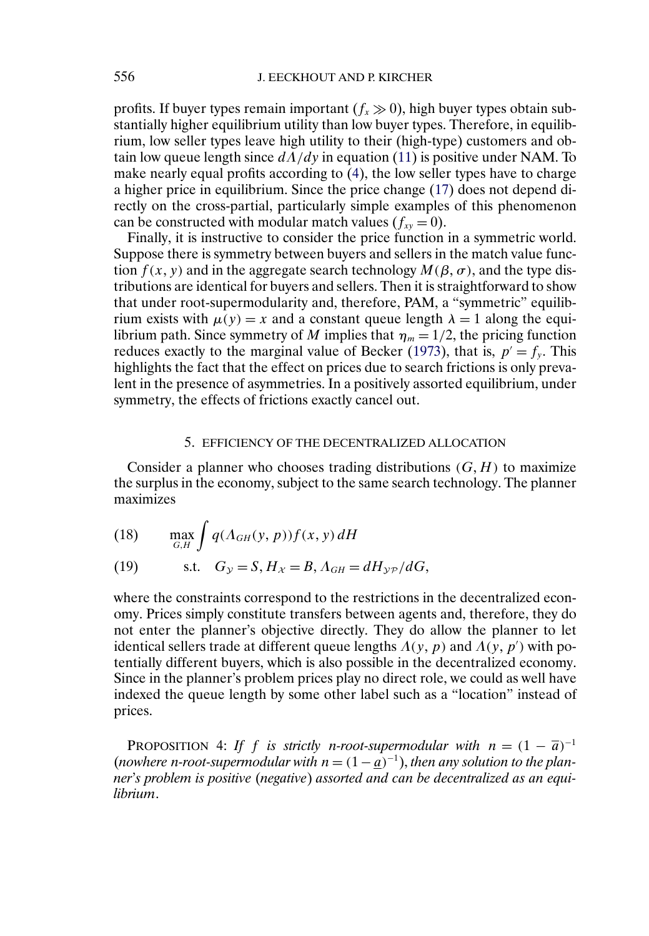<span id="page-17-0"></span>profits. If buyer types remain important  $(f_x \gg 0)$ , high buyer types obtain substantially higher equilibrium utility than low buyer types. Therefore, in equilibrium, low seller types leave high utility to their (high-type) customers and obtain low queue length since  $dA/dy$  in equation [\(11\)](#page-10-0) is positive under NAM. To make nearly equal profits according to [\(4\)](#page-8-0), the low seller types have to charge a higher price in equilibrium. Since the price change [\(17\)](#page-16-0) does not depend directly on the cross-partial, particularly simple examples of this phenomenon can be constructed with modular match values  $(f_{xy} = 0)$ .

Finally, it is instructive to consider the price function in a symmetric world. Suppose there is symmetry between buyers and sellers in the match value function  $f(x, y)$  and in the aggregate search technology  $M(\beta, \sigma)$ , and the type distributions are identical for buyers and sellers. Then it is straightforward to show that under root-supermodularity and, therefore, PAM, a "symmetric" equilibrium exists with  $\mu(y) = x$  and a constant queue length  $\lambda = 1$  along the equilibrium path. Since symmetry of M implies that  $\eta_m = 1/2$ , the pricing function reduces exactly to the marginal value of Becker [\(1973\)](#page-34-0), that is,  $p' = f_y$ . This highlights the fact that the effect on prices due to search frictions is only prevalent in the presence of asymmetries. In a positively assorted equilibrium, under symmetry, the effects of frictions exactly cancel out.

### 5. EFFICIENCY OF THE DECENTRALIZED ALLOCATION

Consider a planner who chooses trading distributions  $(G, H)$  to maximize the surplus in the economy, subject to the same search technology. The planner maximizes

(18) 
$$
\max_{G,H} \int q(\Lambda_{GH}(y, p)) f(x, y) dH
$$

(19) s.t. 
$$
G_{\mathcal{Y}} = S
$$
,  $H_{\mathcal{X}} = B$ ,  $\Lambda_{GH} = dH_{\mathcal{Y}P}/dG$ ,

where the constraints correspond to the restrictions in the decentralized economy. Prices simply constitute transfers between agents and, therefore, they do not enter the planner's objective directly. They do allow the planner to let identical sellers trade at different queue lengths  $\Lambda(y, p)$  and  $\Lambda(y, p')$  with potentially different buyers, which is also possible in the decentralized economy. Since in the planner's problem prices play no direct role, we could as well have indexed the queue length by some other label such as a "location" instead of prices.

PROPOSITION 4: *If* f *is strictly n-root-supermodular with*  $n = (1 - \overline{a})^{-1}$ (*nowhere n-root-supermodular with*  $n = (1 - a)^{-1}$ ), *then any solution to the planner*'*s problem is positive* (*negative*) *assorted and can be decentralized as an equilibrium*.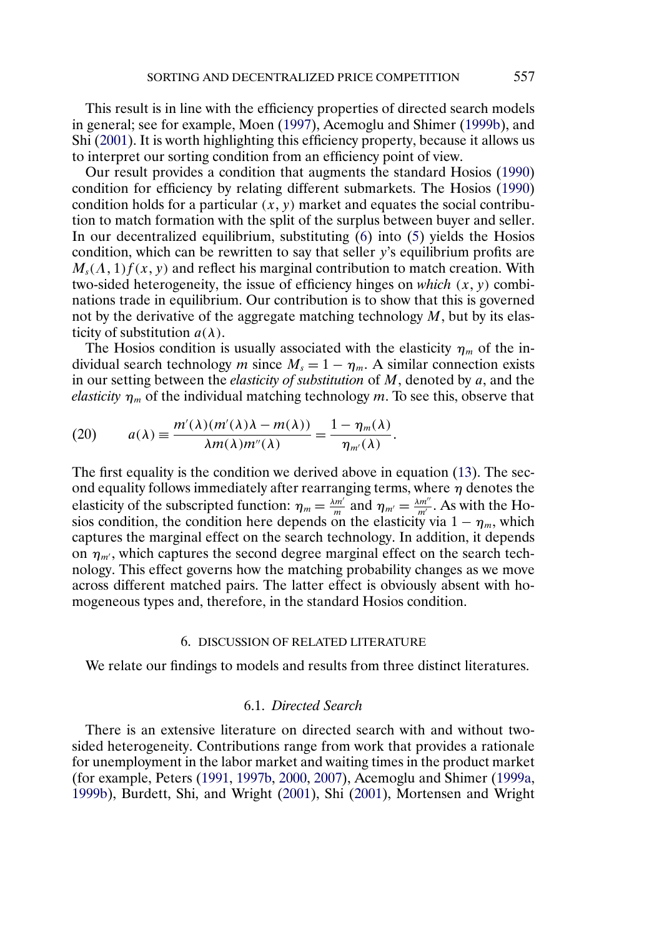<span id="page-18-0"></span>This result is in line with the efficiency properties of directed search models in general; see for example, Moen [\(1997\)](#page-34-0), Acemoglu and Shimer [\(1999b\)](#page-34-0), and Shi [\(2001\)](#page-35-0). It is worth highlighting this efficiency property, because it allows us to interpret our sorting condition from an efficiency point of view.

Our result provides a condition that augments the standard Hosios [\(1990\)](#page-34-0) condition for efficiency by relating different submarkets. The Hosios [\(1990\)](#page-34-0) condition holds for a particular  $(x, y)$  market and equates the social contribution to match formation with the split of the surplus between buyer and seller. In our decentralized equilibrium, substituting [\(6\)](#page-9-0) into [\(5\)](#page-9-0) yields the Hosios condition, which can be rewritten to say that seller y's equilibrium profits are  $M_s(\Lambda, 1) f(x, y)$  and reflect his marginal contribution to match creation. With two-sided heterogeneity, the issue of efficiency hinges on *which*  $(x, y)$  combinations trade in equilibrium. Our contribution is to show that this is governed not by the derivative of the aggregate matching technology  $M$ , but by its elasticity of substitution  $a(\lambda)$ .

The Hosios condition is usually associated with the elasticity  $\eta_m$  of the individual search technology m since  $M_s = 1 - \eta_m$ . A similar connection exists in our setting between the *elasticity of substitution* of M, denoted by a, and the *elasticity*  $\eta_m$  of the individual matching technology m. To see this, observe that

(20) 
$$
a(\lambda) \equiv \frac{m'(\lambda)(m'(\lambda)\lambda - m(\lambda))}{\lambda m(\lambda)m''(\lambda)} = \frac{1 - \eta_m(\lambda)}{\eta_{m'}(\lambda)}.
$$

The first equality is the condition we derived above in equation [\(13\)](#page-10-0). The second equality follows immediately after rearranging terms, where  $\eta$  denotes the elasticity of the subscripted function:  $\eta_m = \frac{\lambda m'}{m}$  and  $\eta_{m'} = \frac{\lambda m''}{m'}$ . As with the Hosios condition, the condition here depends on the elasticity via  $1 - \eta_m$ , which captures the marginal effect on the search technology. In addition, it depends on  $\eta_{m'}$ , which captures the second degree marginal effect on the search technology. This effect governs how the matching probability changes as we move across different matched pairs. The latter effect is obviously absent with homogeneous types and, therefore, in the standard Hosios condition.

#### 6. DISCUSSION OF RELATED LITERATURE

We relate our findings to models and results from three distinct literatures.

## 6.1. *Directed Search*

There is an extensive literature on directed search with and without twosided heterogeneity. Contributions range from work that provides a rationale for unemployment in the labor market and waiting times in the product market (for example, Peters [\(1991,](#page-35-0) [1997b,](#page-35-0) [2000,](#page-35-0) [2007\)](#page-35-0), Acemoglu and Shimer [\(1999a,](#page-34-0) [1999b\)](#page-34-0), Burdett, Shi, and Wright [\(2001\)](#page-34-0), Shi [\(2001\)](#page-35-0), Mortensen and Wright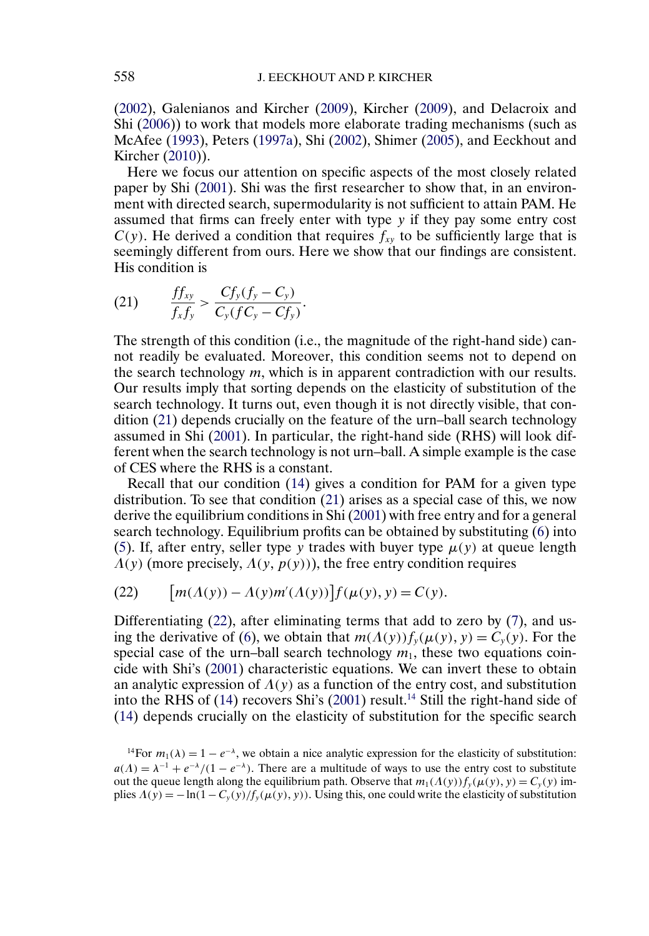[\(2002\)](#page-34-0), Galenianos and Kircher [\(2009\)](#page-34-0), Kircher [\(2009\)](#page-34-0), and Delacroix and Shi [\(2006\)](#page-34-0)) to work that models more elaborate trading mechanisms (such as McAfee [\(1993\)](#page-34-0), Peters [\(1997a\)](#page-35-0), Shi [\(2002\)](#page-35-0), Shimer [\(2005\)](#page-35-0), and Eeckhout and Kircher [\(2010\)](#page-34-0)).

Here we focus our attention on specific aspects of the most closely related paper by Shi [\(2001\)](#page-35-0). Shi was the first researcher to show that, in an environment with directed search, supermodularity is not sufficient to attain PAM. He assumed that firms can freely enter with type y if they pay some entry cost  $C(y)$ . He derived a condition that requires  $f_{xy}$  to be sufficiently large that is seemingly different from ours. Here we show that our findings are consistent. His condition is

(21) 
$$
\frac{ff_{xy}}{f_x f_y} > \frac{Cf_y(f_y - C_y)}{C_y(fC_y - Cf_y)}.
$$

The strength of this condition (i.e., the magnitude of the right-hand side) cannot readily be evaluated. Moreover, this condition seems not to depend on the search technology  $m$ , which is in apparent contradiction with our results. Our results imply that sorting depends on the elasticity of substitution of the search technology. It turns out, even though it is not directly visible, that condition (21) depends crucially on the feature of the urn–ball search technology assumed in Shi [\(2001\)](#page-35-0). In particular, the right-hand side (RHS) will look different when the search technology is not urn–ball. A simple example is the case of CES where the RHS is a constant.

Recall that our condition [\(14\)](#page-10-0) gives a condition for PAM for a given type distribution. To see that condition (21) arises as a special case of this, we now derive the equilibrium conditions in Shi [\(2001\)](#page-35-0) with free entry and for a general search technology. Equilibrium profits can be obtained by substituting [\(6\)](#page-9-0) into [\(5\)](#page-9-0). If, after entry, seller type y trades with buyer type  $\mu(y)$  at queue length  $\Lambda(y)$  (more precisely,  $\Lambda(y, p(y))$ ), the free entry condition requires

(22) 
$$
[m(\Lambda(y)) - \Lambda(y)m'(\Lambda(y))]f(\mu(y), y) = C(y).
$$

Differentiating (22), after eliminating terms that add to zero by [\(7\)](#page-9-0), and us-ing the derivative of [\(6\)](#page-9-0), we obtain that  $m(\Lambda(y))f_y(\mu(y), y) = C_y(y)$ . For the special case of the urn–ball search technology  $m_1$ , these two equations coincide with Shi's [\(2001\)](#page-35-0) characteristic equations. We can invert these to obtain an analytic expression of  $\Lambda(y)$  as a function of the entry cost, and substitution into the RHS of  $(14)$  recovers Shi's  $(2001)$  result.<sup>14</sup> Still the right-hand side of [\(14\)](#page-10-0) depends crucially on the elasticity of substitution for the specific search

<span id="page-19-0"></span>

<sup>&</sup>lt;sup>14</sup>For  $m_1(\lambda) = 1 - e^{-\lambda}$ , we obtain a nice analytic expression for the elasticity of substitution:  $a(\Lambda) = \lambda^{-1} + e^{-\lambda}/(1 - e^{-\lambda})$ . There are a multitude of ways to use the entry cost to substitute out the queue length along the equilibrium path. Observe that  $m_1(\Lambda(y))f_y(\mu(y), y) = C_y(y)$  implies  $\Lambda(y) = -\ln(1 - C_y(y)/f_y(\mu(y), y))$ . Using this, one could write the elasticity of substitution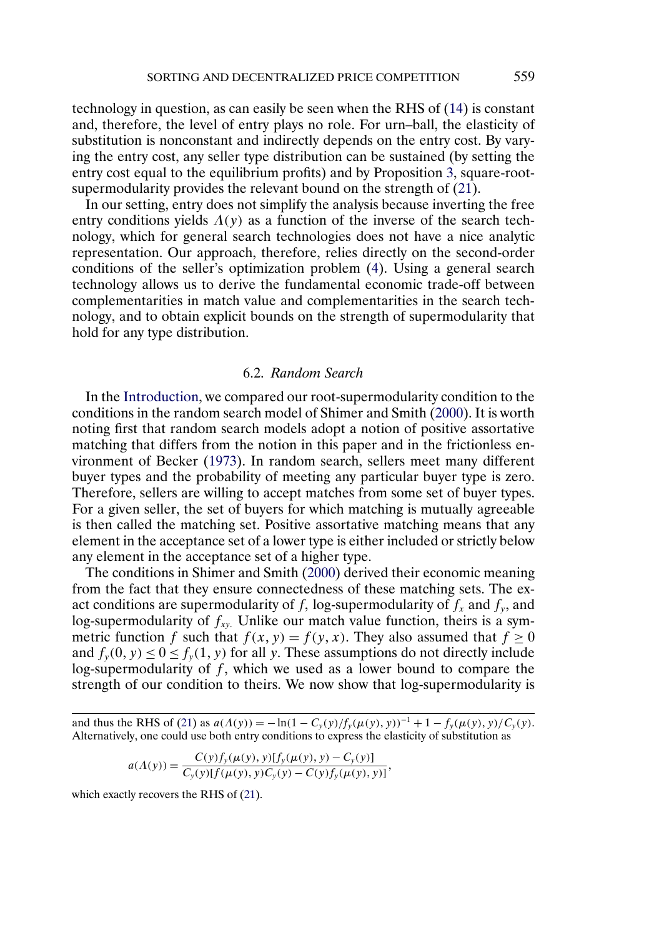<span id="page-20-0"></span>technology in question, as can easily be seen when the RHS of [\(14\)](#page-10-0) is constant and, therefore, the level of entry plays no role. For urn–ball, the elasticity of substitution is nonconstant and indirectly depends on the entry cost. By varying the entry cost, any seller type distribution can be sustained (by setting the entry cost equal to the equilibrium profits) and by Proposition [3,](#page-15-0) square-rootsupermodularity provides the relevant bound on the strength of [\(21\)](#page-19-0).

In our setting, entry does not simplify the analysis because inverting the free entry conditions yields  $\Lambda(y)$  as a function of the inverse of the search technology, which for general search technologies does not have a nice analytic representation. Our approach, therefore, relies directly on the second-order conditions of the seller's optimization problem [\(4\)](#page-8-0). Using a general search technology allows us to derive the fundamental economic trade-off between complementarities in match value and complementarities in the search technology, and to obtain explicit bounds on the strength of supermodularity that hold for any type distribution.

### 6.2. *Random Search*

In the [Introduction,](#page-0-0) we compared our root-supermodularity condition to the conditions in the random search model of Shimer and Smith [\(2000\)](#page-35-0). It is worth noting first that random search models adopt a notion of positive assortative matching that differs from the notion in this paper and in the frictionless environment of Becker [\(1973\)](#page-34-0). In random search, sellers meet many different buyer types and the probability of meeting any particular buyer type is zero. Therefore, sellers are willing to accept matches from some set of buyer types. For a given seller, the set of buyers for which matching is mutually agreeable is then called the matching set. Positive assortative matching means that any element in the acceptance set of a lower type is either included or strictly below any element in the acceptance set of a higher type.

The conditions in Shimer and Smith [\(2000\)](#page-35-0) derived their economic meaning from the fact that they ensure connectedness of these matching sets. The exact conditions are supermodularity of f, log-supermodularity of  $f_x$  and  $f_y$ , and log-supermodularity of  $f_{xy}$ . Unlike our match value function, theirs is a symmetric function f such that  $f(x, y) = f(y, x)$ . They also assumed that  $f \ge 0$ and  $f_y(0, y) \le 0 \le f_y(1, y)$  for all y. These assumptions do not directly include log-supermodularity of  $f$ , which we used as a lower bound to compare the strength of our condition to theirs. We now show that log-supermodularity is

$$
a(\Lambda(y)) = \frac{C(y)f_y(\mu(y), y)[f_y(\mu(y), y) - C_y(y)]}{C_y(y)[f(\mu(y), y)C_y(y) - C(y)f_y(\mu(y), y)]},
$$

which exactly recovers the RHS of [\(21\)](#page-19-0).

and thus the RHS of [\(21\)](#page-19-0) as  $a(\Lambda(y)) = -\ln(1 - C_y(y)/f_y(\mu(y), y))^{-1} + 1 - f_y(\mu(y), y)/C_y(y)$ . Alternatively, one could use both entry conditions to express the elasticity of substitution as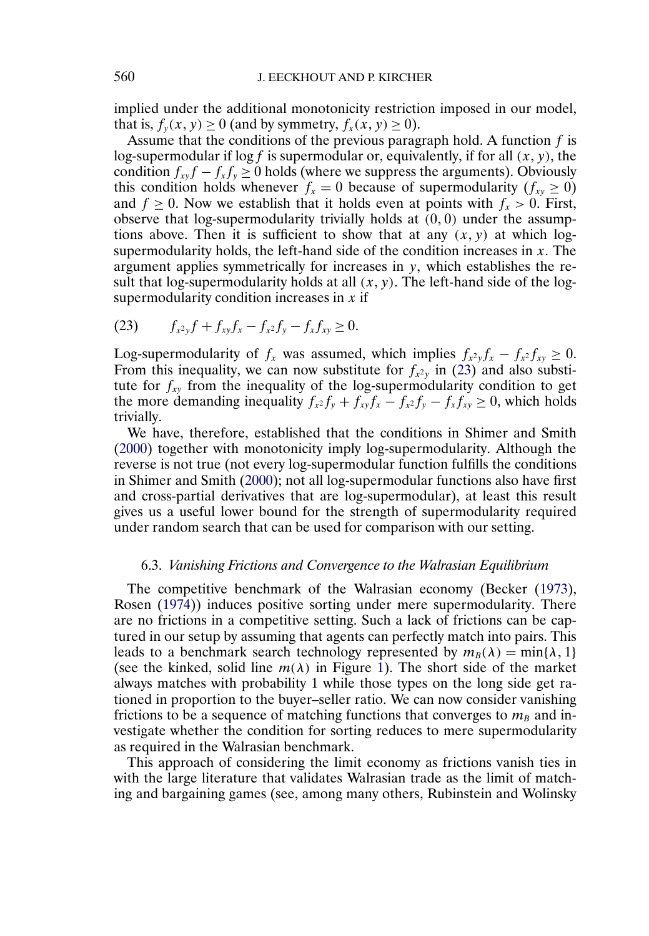implied under the additional monotonicity restriction imposed in our model, that is,  $f_y(x, y) \ge 0$  (and by symmetry,  $f_x(x, y) \ge 0$ ).

Assume that the conditions of the previous paragraph hold. A function  $f$  is log-supermodular if  $\log f$  is supermodular or, equivalently, if for all  $(x, y)$ , the condition  $f_{xy}f - f_xf_y \ge 0$  holds (where we suppress the arguments). Obviously this condition holds whenever  $f_x = 0$  because of supermodularity  $(f_{xy} \ge 0)$ and  $f \ge 0$ . Now we establish that it holds even at points with  $f_x > 0$ . First, observe that log-supermodularity trivially holds at  $(0, 0)$  under the assumptions above. Then it is sufficient to show that at any  $(x, y)$  at which logsupermodularity holds, the left-hand side of the condition increases in  $x$ . The argument applies symmetrically for increases in  $y$ , which establishes the result that log-supermodularity holds at all  $(x, y)$ . The left-hand side of the logsupermodularity condition increases in  $x$  if

$$
(23) \t f_{x^2y}f+f_{xy}f_x-f_{x^2}f_y-f_xf_{xy}\geq 0.
$$

Log-supermodularity of  $f_x$  was assumed, which implies  $f_{x^2y} f_x - f_{x^2} f_{xy} \ge 0$ . From this inequality, we can now substitute for  $f_{x^2y}$  in (23) and also substitute for  $f_{xy}$  from the inequality of the log-supermodularity condition to get the more demanding inequality  $f_{x^2}f_y + f_{xy}f_x - f_{x^2}f_y - f_xf_{xy} \ge 0$ , which holds trivially.

We have, therefore, established that the conditions in Shimer and Smith [\(2000\)](#page-35-0) together with monotonicity imply log-supermodularity. Although the reverse is not true (not every log-supermodular function fulfills the conditions in Shimer and Smith [\(2000\)](#page-35-0); not all log-supermodular functions also have first and cross-partial derivatives that are log-supermodular), at least this result gives us a useful lower bound for the strength of supermodularity required under random search that can be used for comparison with our setting.

### 6.3. *Vanishing Frictions and Convergence to the Walrasian Equilibrium*

The competitive benchmark of the Walrasian economy (Becker [\(1973\)](#page-34-0), Rosen [\(1974\)](#page-35-0)) induces positive sorting under mere supermodularity. There are no frictions in a competitive setting. Such a lack of frictions can be captured in our setup by assuming that agents can perfectly match into pairs. This leads to a benchmark search technology represented by  $m_B(\lambda) = \min{\{\lambda, 1\}}$ (see the kinked, solid line  $m(\lambda)$  in Figure [1\)](#page-22-0). The short side of the market always matches with probability 1 while those types on the long side get rationed in proportion to the buyer–seller ratio. We can now consider vanishing frictions to be a sequence of matching functions that converges to  $m_B$  and investigate whether the condition for sorting reduces to mere supermodularity as required in the Walrasian benchmark.

This approach of considering the limit economy as frictions vanish ties in with the large literature that validates Walrasian trade as the limit of matching and bargaining games (see, among many others, Rubinstein and Wolinsky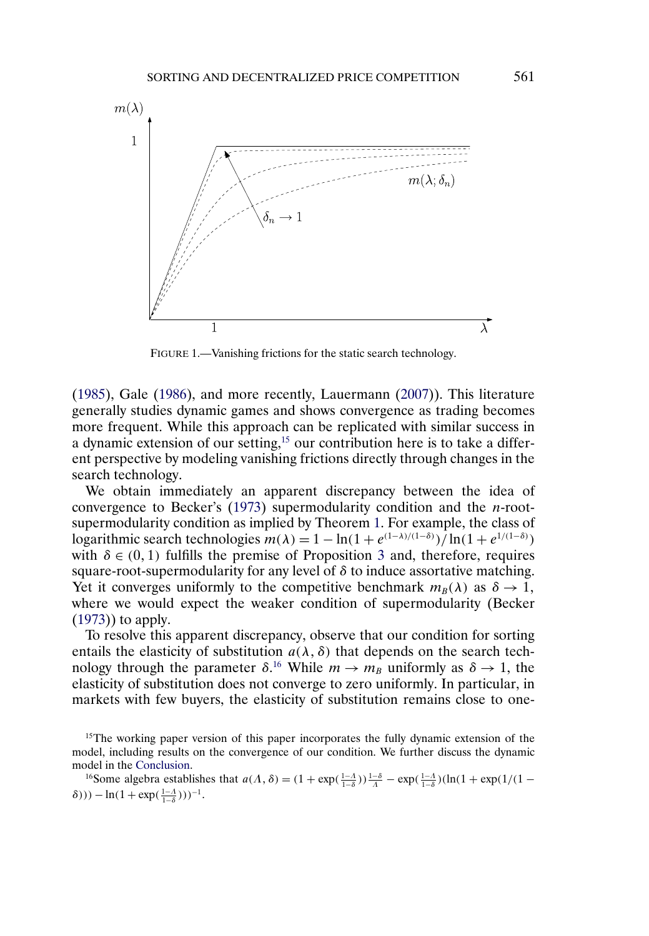<span id="page-22-0"></span>

FIGURE 1.—Vanishing frictions for the static search technology.

[\(1985\)](#page-35-0), Gale [\(1986\)](#page-34-0), and more recently, Lauermann [\(2007\)](#page-34-0)). This literature generally studies dynamic games and shows convergence as trading becomes more frequent. While this approach can be replicated with similar success in a dynamic extension of our setting,<sup>15</sup> our contribution here is to take a different perspective by modeling vanishing frictions directly through changes in the search technology.

We obtain immediately an apparent discrepancy between the idea of convergence to Becker's [\(1973\)](#page-34-0) supermodularity condition and the n-rootsupermodularity condition as implied by Theorem [1.](#page-12-0) For example, the class of logarithmic search technologies  $m(\lambda) = 1 - \ln(1 + e^{(1-\lambda)/(1-\delta)}) / \ln(1 + e^{1/(1-\delta)})$ with  $\delta \in (0, 1)$  fulfills the premise of Proposition [3](#page-15-0) and, therefore, requires square-root-supermodularity for any level of  $\delta$  to induce assortative matching. Yet it converges uniformly to the competitive benchmark  $m_B(\lambda)$  as  $\delta \to 1$ , where we would expect the weaker condition of supermodularity (Becker [\(1973\)](#page-34-0)) to apply.

To resolve this apparent discrepancy, observe that our condition for sorting entails the elasticity of substitution  $a(\lambda, \delta)$  that depends on the search technology through the parameter  $\delta$ <sup>16</sup> While  $m \to m_B$  uniformly as  $\delta \to 1$ , the elasticity of substitution does not converge to zero uniformly. In particular, in markets with few buyers, the elasticity of substitution remains close to one-

<sup>15</sup>The working paper version of this paper incorporates the fully dynamic extension of the model, including results on the convergence of our condition. We further discuss the dynamic model in the [Conclusion.](#page-23-0)

<sup>16</sup>Some algebra establishes that  $a(\Lambda, \delta) = (1 + \exp(\frac{1-\Lambda}{1-\delta}))\frac{1-\delta}{\Lambda} - \exp(\frac{1-\Lambda}{1-\delta})(\ln(1 + \exp(1/(1-\Lambda)))$  $\delta$ ()) – ln(1 + exp( $\frac{1-A}{1-\delta}$ )))<sup>-1</sup>.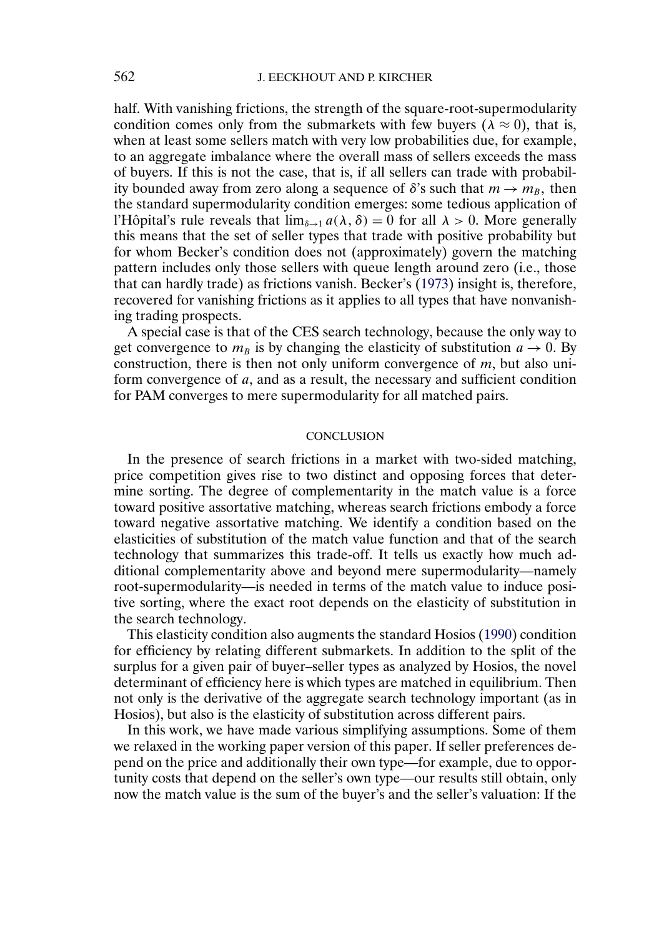<span id="page-23-0"></span>half. With vanishing frictions, the strength of the square-root-supermodularity condition comes only from the submarkets with few buyers ( $\lambda \approx 0$ ), that is, when at least some sellers match with very low probabilities due, for example, to an aggregate imbalance where the overall mass of sellers exceeds the mass of buyers. If this is not the case, that is, if all sellers can trade with probability bounded away from zero along a sequence of  $\delta$ 's such that  $m \to m_B$ , then the standard supermodularity condition emerges: some tedious application of l'Hôpital's rule reveals that  $\lim_{\delta \to 1} a(\lambda, \delta) = 0$  for all  $\lambda > 0$ . More generally this means that the set of seller types that trade with positive probability but for whom Becker's condition does not (approximately) govern the matching pattern includes only those sellers with queue length around zero (i.e., those that can hardly trade) as frictions vanish. Becker's [\(1973\)](#page-34-0) insight is, therefore, recovered for vanishing frictions as it applies to all types that have nonvanishing trading prospects.

A special case is that of the CES search technology, because the only way to get convergence to  $m_B$  is by changing the elasticity of substitution  $a \rightarrow 0$ . By construction, there is then not only uniform convergence of  $m$ , but also uniform convergence of a, and as a result, the necessary and sufficient condition for PAM converges to mere supermodularity for all matched pairs.

#### **CONCLUSION**

In the presence of search frictions in a market with two-sided matching, price competition gives rise to two distinct and opposing forces that determine sorting. The degree of complementarity in the match value is a force toward positive assortative matching, whereas search frictions embody a force toward negative assortative matching. We identify a condition based on the elasticities of substitution of the match value function and that of the search technology that summarizes this trade-off. It tells us exactly how much additional complementarity above and beyond mere supermodularity—namely root-supermodularity—is needed in terms of the match value to induce positive sorting, where the exact root depends on the elasticity of substitution in the search technology.

This elasticity condition also augments the standard Hosios [\(1990\)](#page-34-0) condition for efficiency by relating different submarkets. In addition to the split of the surplus for a given pair of buyer–seller types as analyzed by Hosios, the novel determinant of efficiency here is which types are matched in equilibrium. Then not only is the derivative of the aggregate search technology important (as in Hosios), but also is the elasticity of substitution across different pairs.

In this work, we have made various simplifying assumptions. Some of them we relaxed in the working paper version of this paper. If seller preferences depend on the price and additionally their own type—for example, due to opportunity costs that depend on the seller's own type—our results still obtain, only now the match value is the sum of the buyer's and the seller's valuation: If the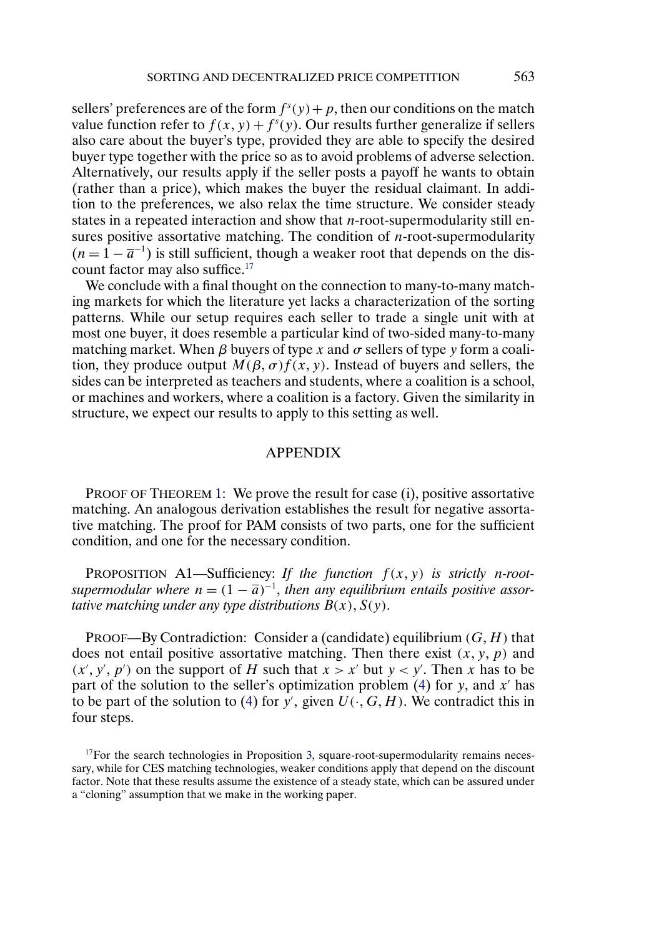<span id="page-24-0"></span>sellers' preferences are of the form  $f^s(y) + p$ , then our conditions on the match value function refer to  $f(x, y) + f'(y)$ . Our results further generalize if sellers also care about the buyer's type, provided they are able to specify the desired buyer type together with the price so as to avoid problems of adverse selection. Alternatively, our results apply if the seller posts a payoff he wants to obtain (rather than a price), which makes the buyer the residual claimant. In addition to the preferences, we also relax the time structure. We consider steady states in a repeated interaction and show that n-root-supermodularity still ensures positive assortative matching. The condition of  $n$ -root-supermodularity  $(n = 1 - \overline{a}^{-1})$  is still sufficient, though a weaker root that depends on the discount factor may also suffice.17

We conclude with a final thought on the connection to many-to-many matching markets for which the literature yet lacks a characterization of the sorting patterns. While our setup requires each seller to trade a single unit with at most one buyer, it does resemble a particular kind of two-sided many-to-many matching market. When  $\beta$  buyers of type x and  $\sigma$  sellers of type y form a coalition, they produce output  $M(\beta, \sigma) f(x, y)$ . Instead of buyers and sellers, the sides can be interpreted as teachers and students, where a coalition is a school, or machines and workers, where a coalition is a factory. Given the similarity in structure, we expect our results to apply to this setting as well.

## APPENDIX

PROOF OF THEOREM [1:](#page-12-0) We prove the result for case (i), positive assortative matching. An analogous derivation establishes the result for negative assortative matching. The proof for PAM consists of two parts, one for the sufficient condition, and one for the necessary condition.

PROPOSITION A1-Sufficiency: If the function  $f(x, y)$  is strictly n-root*supermodular where*  $n = (1 - \overline{a})^{-1}$ , *then any equilibrium entails positive assortative matching under any type distributions*  $B(x)$ ,  $S(y)$ .

PROOF—By Contradiction: Consider a (candidate) equilibrium  $(G, H)$  that does not entail positive assortative matching. Then there exist  $(x, y, p)$  and  $(x', y', p')$  on the support of H such that  $x > x'$  but  $y < y'$ . Then x has to be part of the solution to the seller's optimization problem [\(4\)](#page-8-0) for y, and  $x'$  has to be part of the solution to [\(4\)](#page-8-0) for y', given  $U(\cdot, G, H)$ . We contradict this in four steps.

 $17$  For the search technologies in Proposition [3,](#page-15-0) square-root-supermodularity remains necessary, while for CES matching technologies, weaker conditions apply that depend on the discount factor. Note that these results assume the existence of a steady state, which can be assured under a "cloning" assumption that we make in the working paper.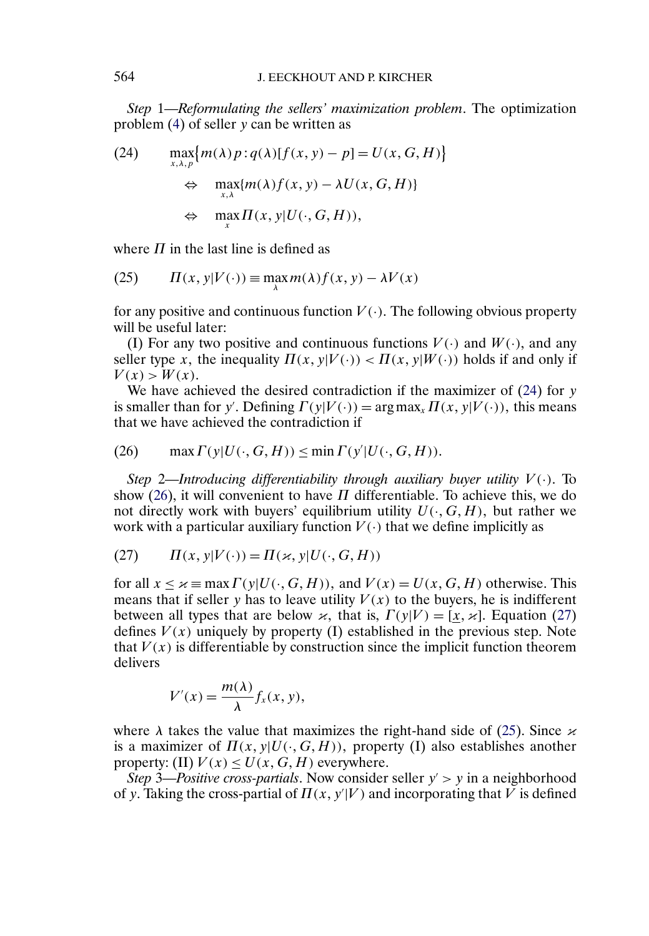*Step* 1—*Reformulating the sellers' maximization problem*. The optimization problem [\(4\)](#page-8-0) of seller y can be written as

(24) 
$$
\max_{x,\lambda,p} \{m(\lambda)p:q(\lambda)[f(x,y)-p] = U(x, G, H)\}
$$

$$
\Leftrightarrow \max_{x,\lambda} \{m(\lambda)f(x,y) - \lambda U(x, G, H)\}
$$

$$
\Leftrightarrow \max_{x} \Pi(x,y|U(\cdot, G, H)),
$$

where  $\Pi$  in the last line is defined as

(25) 
$$
\Pi(x, y | V(\cdot)) \equiv \max_{\lambda} m(\lambda) f(x, y) - \lambda V(x)
$$

for any positive and continuous function  $V(\cdot)$ . The following obvious property will be useful later:

(I) For any two positive and continuous functions  $V(\cdot)$  and  $W(\cdot)$ , and any seller type x, the inequality  $\Pi(x, y|V(\cdot)) < \Pi(x, y|W(\cdot))$  holds if and only if  $V(x) > W(x).$ 

We have achieved the desired contradiction if the maximizer of  $(24)$  for y is smaller than for y'. Defining  $\Gamma(y|V(\cdot)) = \arg \max_x \Pi(x, y|V(\cdot))$ , this means that we have achieved the contradiction if

(26) 
$$
\max \Gamma(y|U(\cdot, G, H)) \le \min \Gamma(y'|U(\cdot, G, H)).
$$

*Step* 2—*Introducing differentiability through auxiliary buyer utility*  $V(\cdot)$ . To show (26), it will convenient to have  $\Pi$  differentiable. To achieve this, we do not directly work with buyers' equilibrium utility  $U(\cdot, G, H)$ , but rather we work with a particular auxiliary function  $V(\cdot)$  that we define implicitly as

(27) 
$$
\Pi(x, y | V(\cdot)) = \Pi(x, y | U(\cdot, G, H))
$$

for all  $x \leq \varkappa \equiv \max \Gamma(v|U(\cdot, G, H))$ , and  $V(x) = U(x, G, H)$  otherwise. This means that if seller y has to leave utility  $V(x)$  to the buyers, he is indifferent between all types that are below  $\varkappa$ , that is,  $\Gamma(y|V) = [\underline{x}, \varkappa]$ . Equation (27) defines  $V(x)$  uniquely by property (I) established in the previous step. Note that  $V(x)$  is differentiable by construction since the implicit function theorem delivers

$$
V'(x) = \frac{m(\lambda)}{\lambda} f_x(x, y),
$$

where  $\lambda$  takes the value that maximizes the right-hand side of (25). Since  $\varkappa$ is a maximizer of  $\Pi(x, y|U(\cdot, G, H))$ , property (I) also establishes another property: (II)  $V(x) \le U(x, G, H)$  everywhere.

*Step* 3—*Positive cross-partials*. Now consider seller  $y' > y$  in a neighborhood of y. Taking the cross-partial of  $\Pi(x, y'|V)$  and incorporating that  $\overline{V}$  is defined

<span id="page-25-0"></span>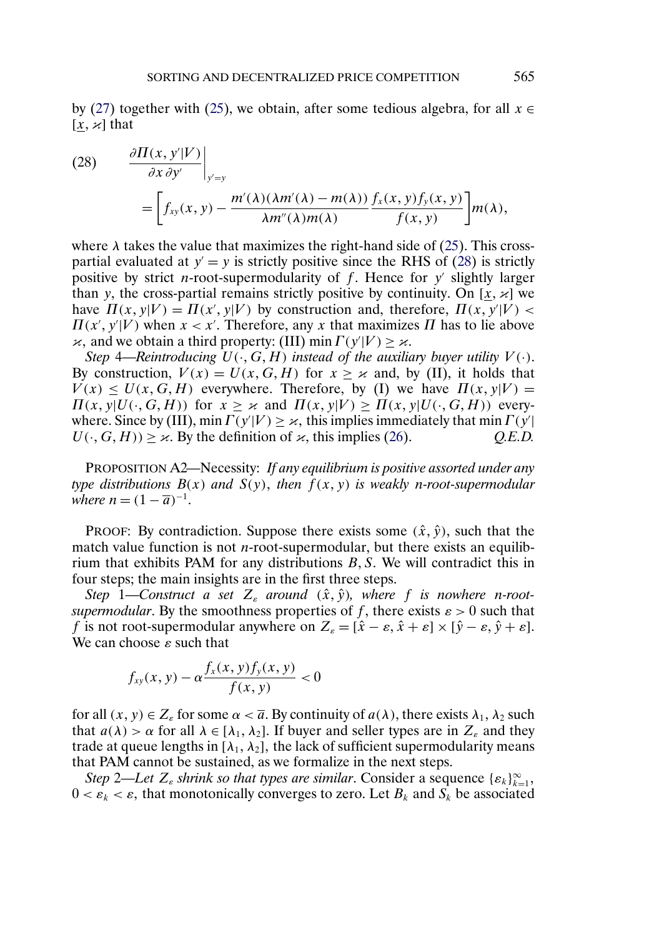<span id="page-26-0"></span>by [\(27\)](#page-25-0) together with [\(25\)](#page-25-0), we obtain, after some tedious algebra, for all  $x \in$ [ $x, \varkappa$ ] that

(28) 
$$
\frac{\partial \Pi(x, y'|V)}{\partial x \partial y}\Big|_{y'=y} = \left[f_{xy}(x, y) - \frac{m'(\lambda)(\lambda m'(\lambda) - m(\lambda))}{\lambda m''(\lambda)m(\lambda)} \frac{f_x(x, y)f_y(x, y)}{f(x, y)}\right] m(\lambda),
$$

where  $\lambda$  takes the value that maximizes the right-hand side of [\(25\)](#page-25-0). This crosspartial evaluated at  $y' = y$  is strictly positive since the RHS of (28) is strictly positive by strict *n*-root-supermodularity of f. Hence for  $y'$  slightly larger than y, the cross-partial remains strictly positive by continuity. On [x,  $\varkappa$ ] we have  $\Pi(x, y | V) = \Pi(x', y | V)$  by construction and, therefore,  $\Pi(x, y | V)$  <  $\Pi(x', y'|V)$  when  $x < x'$ . Therefore, any x that maximizes  $\Pi$  has to lie above  $\varkappa$ , and we obtain a third property: (III) min  $\Gamma(y'|V) \ge \varkappa$ .

*Step* 4—*Reintroducing*  $U(\cdot, G, H)$  *instead of the auxiliary buyer utility*  $V(\cdot)$ *.* By construction,  $V(x) = U(x, G, H)$  for  $x \geq x$  and, by (II), it holds that  $V(x) \le U(x, G, H)$  everywhere. Therefore, by (I) we have  $\Pi(x, y | V) =$  $\Pi(x, y|U(\cdot, G, H))$  for  $x \geq x$  and  $\Pi(x, y|V) \geq \Pi(x, y|U(\cdot, G, H))$  everywhere. Since by (III), min  $\Gamma(y|V) \ge \varkappa$ , this implies immediately that min  $\Gamma(y'|V)$  $U(\cdot, G, H) \ge \varkappa$ . By the definition of  $\varkappa$ , this implies [\(26\)](#page-25-0). *Q.E.D.* 

PROPOSITION A2—Necessity: *If any equilibrium is positive assorted under any type distributions*  $B(x)$  *and*  $S(y)$ *, then*  $f(x, y)$  *is weakly n-root-supermodular where*  $n = (1 - \overline{a})^{-1}$ .

PROOF: By contradiction. Suppose there exists some  $(\hat{x}, \hat{y})$ , such that the match value function is not *n*-root-supermodular, but there exists an equilibrium that exhibits PAM for any distributions  $B, S$ . We will contradict this in four steps; the main insights are in the first three steps.

Step 1—*Construct a set*  $Z_{\varepsilon}$  *around*  $(\hat{x}, \hat{y})$ *, where f is nowhere n-rootsupermodular*. By the smoothness properties of f, there exists  $\varepsilon > 0$  such that f is not root-supermodular anywhere on  $Z_{\varepsilon} = [\hat{x} - \varepsilon, \hat{x} + \varepsilon] \times [\hat{y} - \varepsilon, \hat{y} + \varepsilon]$ . We can choose  $\varepsilon$  such that

$$
f_{xy}(x, y) - \alpha \frac{f_x(x, y) f_y(x, y)}{f(x, y)} < 0
$$

for all  $(x, y) \in Z_{\varepsilon}$  for some  $\alpha < \overline{a}$ . By continuity of  $a(\lambda)$ , there exists  $\lambda_1, \lambda_2$  such that  $a(\lambda) > \alpha$  for all  $\lambda \in [\lambda_1, \lambda_2]$ . If buyer and seller types are in  $Z_{\varepsilon}$  and they trade at queue lengths in  $[\lambda_1, \lambda_2]$ , the lack of sufficient supermodularity means that PAM cannot be sustained, as we formalize in the next steps.

*Step* 2—*Let*  $Z_{\varepsilon}$  *shrink so that types are similar.* Consider a sequence  $\{\varepsilon_k\}_{k=1}^{\infty}$ ,  $0 < \varepsilon_k < \varepsilon$ , that monotonically converges to zero. Let  $B_k$  and  $S_k$  be associated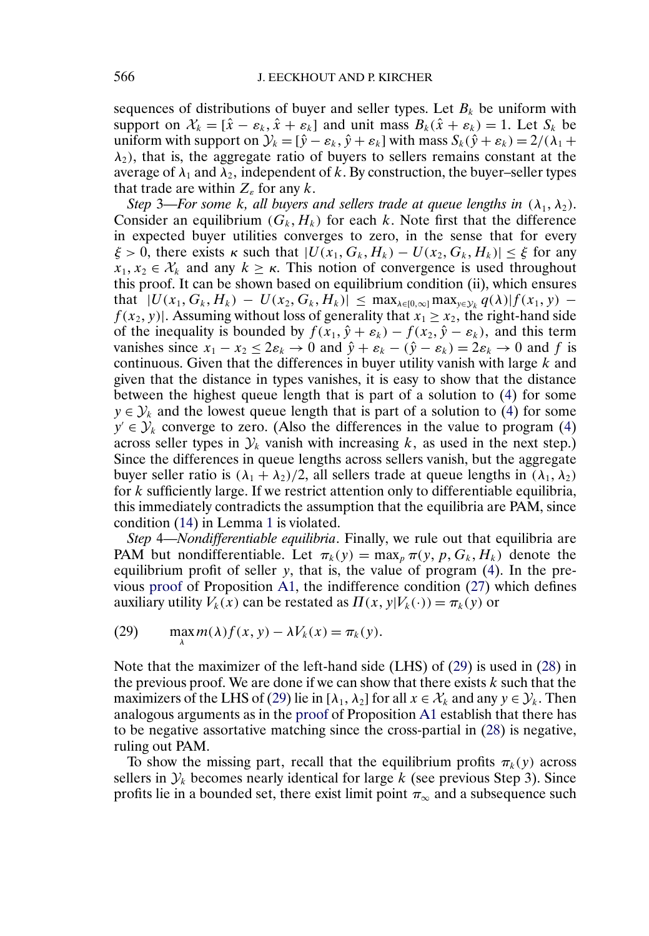<span id="page-27-0"></span>sequences of distributions of buyer and seller types. Let  $B_k$  be uniform with support on  $X_k = [\hat{x} - \varepsilon_k, \hat{x} + \varepsilon_k]$  and unit mass  $B_k(\hat{x} + \varepsilon_k) = 1$ . Let  $S_k$  be uniform with support on  $\mathcal{Y}_k = [\hat{y} - \varepsilon_k, \hat{y} + \varepsilon_k]$  with mass  $S_k(\hat{y} + \varepsilon_k) = 2/(\lambda_1 + \lambda_2)$  $\lambda_2$ ), that is, the aggregate ratio of buyers to sellers remains constant at the average of  $\lambda_1$  and  $\lambda_2$ , independent of k. By construction, the buyer–seller types that trade are within  $Z_{\varepsilon}$  for any k.

*Step* 3—*For some* k, all buyers and sellers trade at queue lengths in  $(\lambda_1, \lambda_2)$ . Consider an equilibrium  $(G_k, H_k)$  for each k. Note first that the difference in expected buyer utilities converges to zero, in the sense that for every  $\xi > 0$ , there exists  $\kappa$  such that  $|U(x_1, G_k, H_k) - U(x_2, G_k, H_k)| \leq \xi$  for any  $x_1, x_2 \in \mathcal{X}_k$  and any  $k \geq \kappa$ . This notion of convergence is used throughout this proof. It can be shown based on equilibrium condition (ii), which ensures that  $|U(x_1, G_k, H_k) - U(x_2, G_k, H_k)| \leq \max_{\lambda \in [0,\infty]} \max_{y \in \mathcal{Y}_k} q(\lambda) |f(x_1, y)$  $f(x_2, y)$ . Assuming without loss of generality that  $x_1 \ge x_2$ , the right-hand side of the inequality is bounded by  $f(x_1, \hat{y} + \varepsilon_k) - f(x_2, \hat{y} - \varepsilon_k)$ , and this term vanishes since  $x_1 - x_2 \le 2\varepsilon_k \to 0$  and  $\hat{y} + \varepsilon_k - (\hat{y} - \varepsilon_k) = 2\varepsilon_k \to 0$  and f is continuous. Given that the differences in buyer utility vanish with large  $k$  and given that the distance in types vanishes, it is easy to show that the distance between the highest queue length that is part of a solution to [\(4\)](#page-8-0) for some  $y \in \mathcal{Y}_k$  and the lowest queue length that is part of a solution to [\(4\)](#page-8-0) for some  $y' \in \mathcal{Y}_k$  converge to zero. (Also the differences in the value to program [\(4\)](#page-8-0) across seller types in  $\mathcal{Y}_k$  vanish with increasing k, as used in the next step.) Since the differences in queue lengths across sellers vanish, but the aggregate buyer seller ratio is  $(\lambda_1 + \lambda_2)/2$ , all sellers trade at queue lengths in  $(\lambda_1, \lambda_2)$ for k sufficiently large. If we restrict attention only to differentiable equilibria, this immediately contradicts the assumption that the equilibria are PAM, since condition [\(14\)](#page-10-0) in Lemma [1](#page-10-0) is violated.

*Step* 4—*Nondifferentiable equilibria*. Finally, we rule out that equilibria are PAM but nondifferentiable. Let  $\pi_k(y) = \max_p \pi(y, p, G_k, H_k)$  denote the equilibrium profit of seller y, that is, the value of program [\(4\)](#page-8-0). In the previous [proof](#page-24-0) of Proposition [A1,](#page-24-0) the indifference condition [\(27\)](#page-25-0) which defines auxiliary utility  $V_k(x)$  can be restated as  $\Pi(x, y | V_k(\cdot)) = \pi_k(y)$  or

(29) 
$$
\max_{\lambda} m(\lambda) f(x, y) - \lambda V_k(x) = \pi_k(y).
$$

Note that the maximizer of the left-hand side (LHS) of (29) is used in [\(28\)](#page-26-0) in the previous proof. We are done if we can show that there exists  $k$  such that the maximizers of the LHS of (29) lie in  $[\lambda_1, \lambda_2]$  for all  $x \in \mathcal{X}_k$  and any  $y \in \mathcal{Y}_k$ . Then analogous arguments as in the [proof](#page-24-0) of Proposition [A1](#page-24-0) establish that there has to be negative assortative matching since the cross-partial in [\(28\)](#page-26-0) is negative, ruling out PAM.

To show the missing part, recall that the equilibrium profits  $\pi_k(y)$  across sellers in  $\mathcal{Y}_k$  becomes nearly identical for large k (see previous Step 3). Since profits lie in a bounded set, there exist limit point  $\pi_{\infty}$  and a subsequence such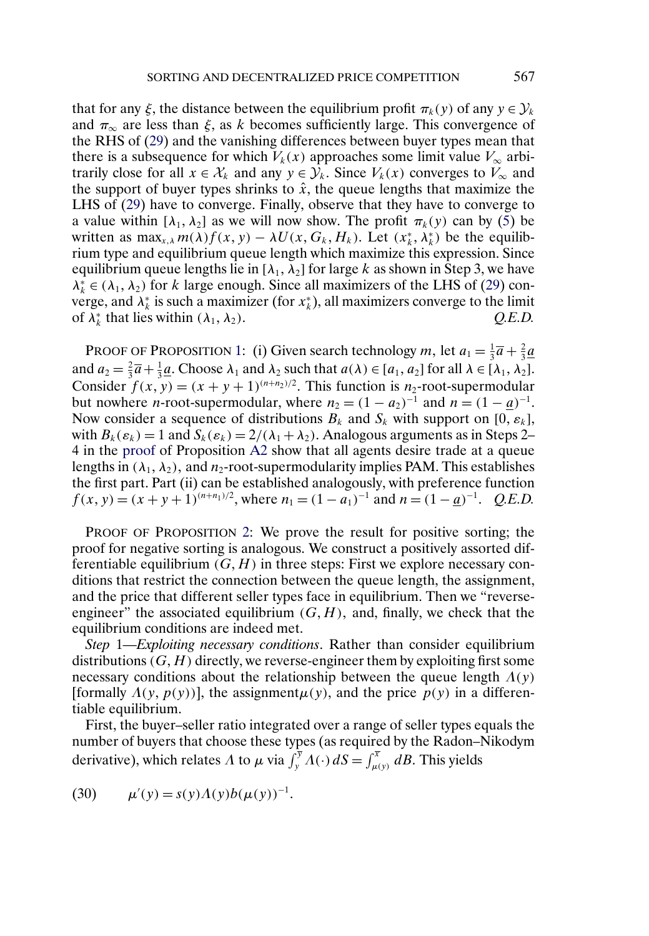<span id="page-28-0"></span>that for any ξ, the distance between the equilibrium profit  $\pi_k(y)$  of any  $y \in \mathcal{Y}_k$ and  $\pi_{\infty}$  are less than  $\xi$ , as k becomes sufficiently large. This convergence of the RHS of [\(29\)](#page-27-0) and the vanishing differences between buyer types mean that there is a subsequence for which  $V_k(x)$  approaches some limit value  $V_\infty$  arbitrarily close for all  $x \in \mathcal{X}_k$  and any  $y \in \mathcal{Y}_k$ . Since  $V_k(x)$  converges to  $V_\infty$  and the support of buyer types shrinks to  $\hat{x}$ , the queue lengths that maximize the LHS of [\(29\)](#page-27-0) have to converge. Finally, observe that they have to converge to a value within  $[\lambda_1, \lambda_2]$  as we will now show. The profit  $\pi_k(y)$  can by [\(5\)](#page-9-0) be written as  $\max_{x,\lambda} m(\lambda) f(x, y) - \lambda U(x, G_k, H_k)$ . Let  $(x_k^*, \lambda_k^*)$  be the equilibrium type and equilibrium queue length which maximize this expression. Since equilibrium queue lengths lie in  $[\lambda_1, \lambda_2]$  for large k as shown in Step 3, we have  $\lambda_k^* \in (\lambda_1, \lambda_2)$  for k large enough. Since all maximizers of the LHS of [\(29\)](#page-27-0) converge, and  $\lambda_k^*$  is such a maximizer (for  $x_k^*$ ), all maximizers converge to the limit of  $\lambda_k^*$  that lies within  $(\lambda_1, \lambda_2)$ . *Q.E.D.*

PROOF OF PROPOSITION [1:](#page-13-0) (i) Given search technology m, let  $a_1 = \frac{1}{3}\overline{a} + \frac{2}{3}\underline{a}$ and  $a_2 = \frac{2}{3}\overline{a} + \frac{1}{3}\underline{a}$ . Choose  $\lambda_1$  and  $\lambda_2$  such that  $a(\lambda) \in [a_1, a_2]$  for all  $\lambda \in [\lambda_1, \lambda_2]$ . Consider  $f(x, y) = (x + y + 1)^{(n+n_2)/2}$ . This function is n<sub>2</sub>-root-supermodular but nowhere *n*-root-supermodular, where  $n_2 = (1 - a_2)^{-1}$  and  $n = (1 - a)^{-1}$ . Now consider a sequence of distributions  $B_k$  and  $S_k$  with support on [0,  $\varepsilon_k$ ], with  $B_k(\varepsilon_k) = 1$  and  $S_k(\varepsilon_k) = 2/(\lambda_1 + \lambda_2)$ . Analogous arguments as in Steps 2– 4 in the [proof](#page-26-0) of Proposition [A2](#page-26-0) show that all agents desire trade at a queue lengths in  $(\lambda_1, \lambda_2)$ , and  $n_2$ -root-supermodularity implies PAM. This establishes the first part. Part (ii) can be established analogously, with preference function  $f(x, y) = (x + y + 1)^{(n+n_1)/2}$ , where  $n_1 = (1 - a_1)^{-1}$  and  $n = (1 - a)^{-1}$ . *Q.E.D.* 

PROOF OF PROPOSITION [2:](#page-14-0) We prove the result for positive sorting; the proof for negative sorting is analogous. We construct a positively assorted differentiable equilibrium  $(G, H)$  in three steps: First we explore necessary conditions that restrict the connection between the queue length, the assignment, and the price that different seller types face in equilibrium. Then we "reverseengineer" the associated equilibrium  $(G, H)$ , and, finally, we check that the equilibrium conditions are indeed met.

*Step* 1—*Exploiting necessary conditions*. Rather than consider equilibrium distributions  $(G, H)$  directly, we reverse-engineer them by exploiting first some necessary conditions about the relationship between the queue length  $\Lambda(y)$ [formally  $\Lambda(y, p(y))$ ], the assignment $\mu(y)$ , and the price  $p(y)$  in a differentiable equilibrium.

First, the buyer–seller ratio integrated over a range of seller types equals the number of buyers that choose these types (as required by the Radon–Nikodym derivative), which relates  $\Lambda$  to  $\mu$  via  $\int_y^{\overline{y}} A(\cdot) dS = \int_{\mu(y)}^{\overline{x}} dB$ . This yields

(30) 
$$
\mu'(y) = s(y) \Lambda(y) b(\mu(y))^{-1}.
$$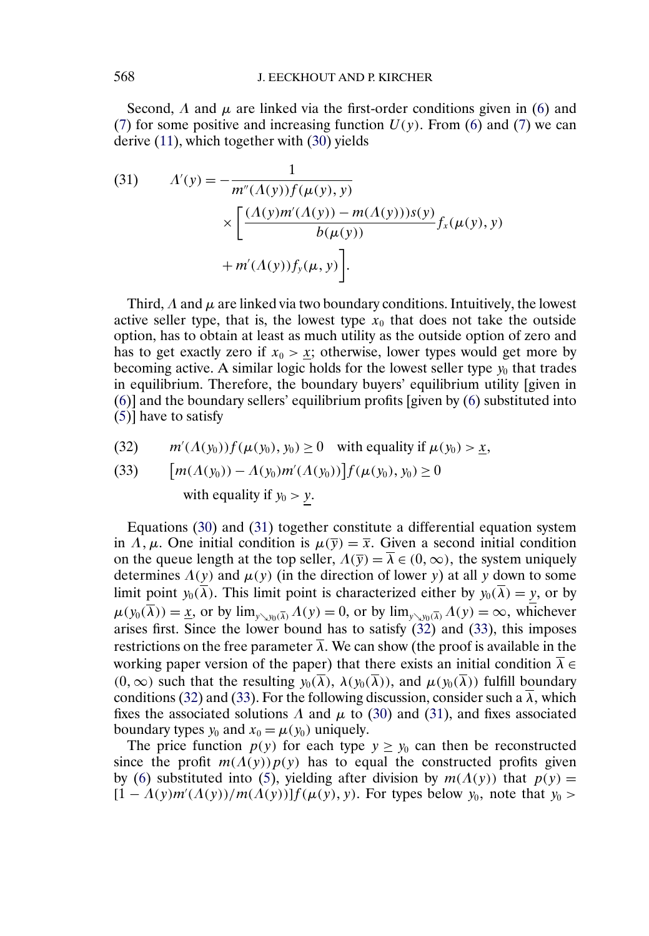<span id="page-29-0"></span>Second,  $\Lambda$  and  $\mu$  are linked via the first-order conditions given in [\(6\)](#page-9-0) and [\(7\)](#page-9-0) for some positive and increasing function  $U(y)$ . From [\(6\)](#page-9-0) and (7) we can derive [\(11\)](#page-10-0), which together with [\(30\)](#page-28-0) yields

(31) 
$$
A'(y) = -\frac{1}{m''(\Lambda(y))f(\mu(y), y)}
$$

$$
\times \left[ \frac{(A(y)m'(A(y)) - m(A(y)))s(y)}{b(\mu(y))} f_x(\mu(y), y) + m'(A(y)) f_y(\mu, y) \right].
$$

Third,  $\Lambda$  and  $\mu$  are linked via two boundary conditions. Intuitively, the lowest active seller type, that is, the lowest type  $x_0$  that does not take the outside option, has to obtain at least as much utility as the outside option of zero and has to get exactly zero if  $x_0 > x$ ; otherwise, lower types would get more by becoming active. A similar logic holds for the lowest seller type  $y_0$  that trades in equilibrium. Therefore, the boundary buyers' equilibrium utility [given in [\(6\)](#page-9-0)] and the boundary sellers' equilibrium profits [given by [\(6\)](#page-9-0) substituted into [\(5\)](#page-9-0)] have to satisfy

(32) 
$$
m'(A(y_0))f(\mu(y_0), y_0) \ge 0
$$
 with equality if  $\mu(y_0) > \underline{x}$ ,

(33) 
$$
[m(\Lambda(y_0)) - \Lambda(y_0)m'(\Lambda(y_0))]f(\mu(y_0), y_0) \ge 0
$$
  
with equality if  $y_0 > y$ .

Equations [\(30\)](#page-28-0) and (31) together constitute a differential equation system in  $\Lambda$ ,  $\mu$ . One initial condition is  $\mu(\bar{y}) = \bar{x}$ . Given a second initial condition on the queue length at the top seller,  $\Lambda(\bar{y}) = \bar{\lambda} \in (0, \infty)$ , the system uniquely determines  $\Lambda(y)$  and  $\mu(y)$  (in the direction of lower y) at all y down to some limit point  $y_0(\overline{\lambda})$ . This limit point is characterized either by  $y_0(\overline{\lambda}) = y$ , or by  $\mu(y_0(\overline{\lambda})) = \underline{x}$ , or by  $\lim_{y \searrow y_0(\overline{\lambda})} \Lambda(y) = 0$ , or by  $\lim_{y \searrow y_0(\overline{\lambda})} \Lambda(y) = \infty$ , whichever arises first. Since the lower bound has to satisfy (32) and (33), this imposes restrictions on the free parameter  $\lambda$ . We can show (the proof is available in the working paper version of the paper) that there exists an initial condition  $\overline{\lambda} \in$  $(0,\infty)$  such that the resulting  $y_0(\overline{\lambda})$ ,  $\lambda(y_0(\overline{\lambda}))$ , and  $\mu(y_0(\overline{\lambda}))$  fulfill boundary conditions (32) and (33). For the following discussion, consider such a  $\overline{\lambda}$ , which fixes the associated solutions  $\Lambda$  and  $\mu$  to [\(30\)](#page-28-0) and (31), and fixes associated boundary types  $y_0$  and  $x_0 = \mu(y_0)$  uniquely.

The price function  $p(y)$  for each type  $y \ge y_0$  can then be reconstructed since the profit  $m(\Lambda(y))p(y)$  has to equal the constructed profits given by [\(6\)](#page-9-0) substituted into [\(5\)](#page-9-0), yielding after division by  $m(\Lambda(y))$  that  $p(y) =$  $[1 - A(y)m'(A(y))/m(A(y))]f(\mu(y), y)$ . For types below  $y_0$ , note that  $y_0 >$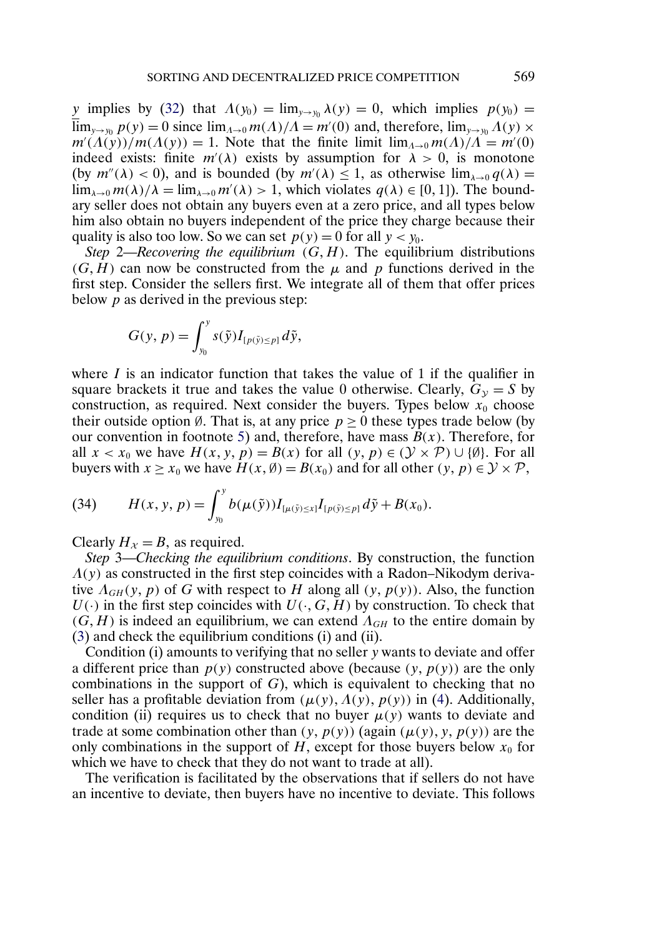y implies by [\(32\)](#page-29-0) that  $\Lambda(y_0) = \lim_{y \to y_0} \lambda(y) = 0$ , which implies  $p(y_0) =$  $\overline{\lim}_{y\to y_0} p(y) = 0$  since  $\lim_{\Delta\to 0} m(\Lambda)/\Lambda = m'(0)$  and, therefore,  $\lim_{y\to y_0} \Lambda(y) \times$  $m'(A(y))/m(A(y)) = 1$ . Note that the finite limit  $\lim_{\Delta \to 0} m(A)/A = m'(0)$ indeed exists: finite  $m'(\lambda)$  exists by assumption for  $\lambda > 0$ , is monotone (by  $m''(\lambda) < 0$ ), and is bounded (by  $m'(\lambda) \le 1$ , as otherwise  $\lim_{\lambda \to 0} q(\lambda) =$  $\lim_{\lambda \to 0} m(\lambda)/\lambda = \lim_{\lambda \to 0} m'(\lambda) > 1$ , which violates  $q(\lambda) \in [0, 1]$ ). The boundary seller does not obtain any buyers even at a zero price, and all types below him also obtain no buyers independent of the price they charge because their quality is also too low. So we can set  $p(y) = 0$  for all  $y < y_0$ .

*Step* 2—*Recovering the equilibrium*  $(G, H)$ . The equilibrium distributions  $(G, H)$  can now be constructed from the  $\mu$  and p functions derived in the first step. Consider the sellers first. We integrate all of them that offer prices below  $p$  as derived in the previous step:

$$
G(y, p) = \int_{y_0}^{y} s(\tilde{y}) I_{[p(\tilde{y}) \le p]} d\tilde{y},
$$

where  $I$  is an indicator function that takes the value of 1 if the qualifier in square brackets it true and takes the value 0 otherwise. Clearly,  $G_y = S$  by construction, as required. Next consider the buyers. Types below  $x_0$  choose their outside option  $\emptyset$ . That is, at any price  $p \geq 0$  these types trade below (by our convention in footnote [5\)](#page-6-0) and, therefore, have mass  $B(x)$ . Therefore, for all  $x < x_0$  we have  $H(x, y, p) = B(x)$  for all  $(y, p) \in (\mathcal{Y} \times \mathcal{P}) \cup \{\emptyset\}$ . For all buyers with  $x \ge x_0$  we have  $H(x, \emptyset) = B(x_0)$  and for all other  $(y, p) \in \mathcal{Y} \times \mathcal{P}$ ,

(34) 
$$
H(x, y, p) = \int_{y_0}^{y} b(\mu(\tilde{y})) I_{[\mu(\tilde{y}) \le x]} I_{[p(\tilde{y}) \le p]} d\tilde{y} + B(x_0).
$$

Clearly  $H<sub>x</sub> = B$ , as required.

*Step* 3—*Checking the equilibrium conditions*. By construction, the function  $\Lambda(y)$  as constructed in the first step coincides with a Radon–Nikodym derivative  $\Lambda_{GH}(y, p)$  of G with respect to H along all  $(y, p(y))$ . Also, the function  $U(\cdot)$  in the first step coincides with  $U(\cdot, G, H)$  by construction. To check that  $(G, H)$  is indeed an equilibrium, we can extend  $\Lambda_{GH}$  to the entire domain by [\(3\)](#page-7-0) and check the equilibrium conditions (i) and (ii).

Condition (i) amounts to verifying that no seller y wants to deviate and offer a different price than  $p(y)$  constructed above (because  $(y, p(y))$ ) are the only combinations in the support of  $G$ ), which is equivalent to checking that no seller has a profitable deviation from  $(\mu(y), \Lambda(y), p(y))$  in [\(4\)](#page-8-0). Additionally, condition (ii) requires us to check that no buyer  $\mu(y)$  wants to deviate and trade at some combination other than  $(y, p(y))$  (again  $(\mu(y), y, p(y))$  are the only combinations in the support of H, except for those buyers below  $x_0$  for which we have to check that they do not want to trade at all).

The verification is facilitated by the observations that if sellers do not have an incentive to deviate, then buyers have no incentive to deviate. This follows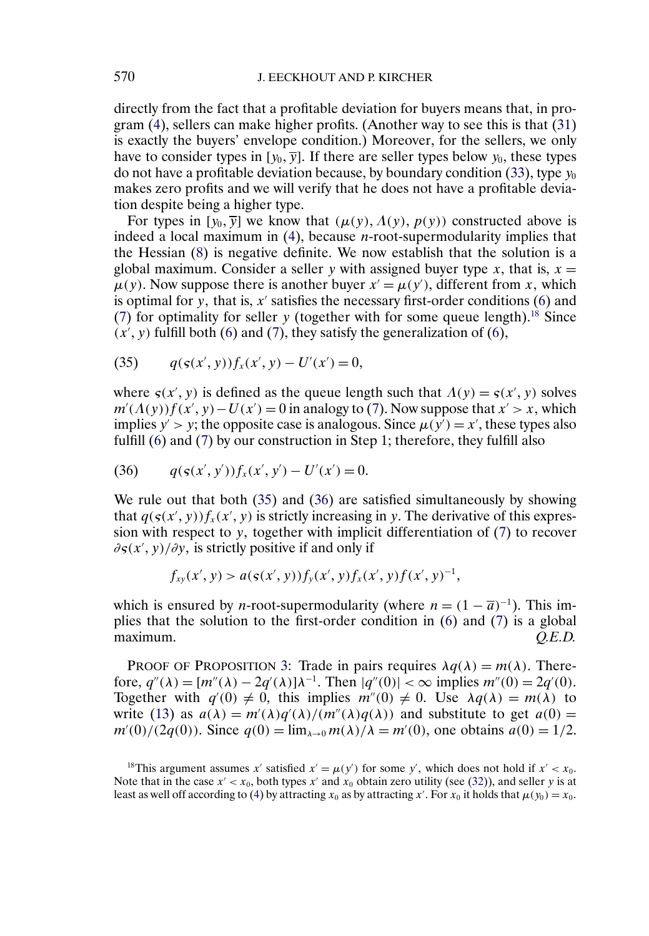directly from the fact that a profitable deviation for buyers means that, in program  $(4)$ , sellers can make higher profits. (Another way to see this is that  $(31)$ ) is exactly the buyers' envelope condition.) Moreover, for the sellers, we only have to consider types in [ $y_0$ ,  $\overline{y}$ ]. If there are seller types below  $y_0$ , these types do not have a profitable deviation because, by boundary condition [\(33\)](#page-29-0), type  $y_0$ makes zero profits and we will verify that he does not have a profitable deviation despite being a higher type.

For types in  $[v_0, \overline{v}]$  we know that  $(\mu(v), \Lambda(v), p(v))$  constructed above is indeed a local maximum in  $(4)$ , because *n*-root-supermodularity implies that the Hessian [\(8\)](#page-9-0) is negative definite. We now establish that the solution is a global maximum. Consider a seller y with assigned buyer type x, that is,  $x =$  $\mu(y)$ . Now suppose there is another buyer  $x' = \mu(y')$ , different from x, which is optimal for y, that is,  $x'$  satisfies the necessary first-order conditions [\(6\)](#page-9-0) and [\(7\)](#page-9-0) for optimality for seller y (together with for some queue length).<sup>18</sup> Since  $(x', y)$  fulfill both [\(6\)](#page-9-0) and [\(7\)](#page-9-0), they satisfy the generalization of (6),

(35) 
$$
q(s(x', y))f_x(x', y) - U'(x') = 0,
$$

where  $s(x', y)$  is defined as the queue length such that  $\Lambda(y) = s(x', y)$  solves  $m'(A(y))f(x', y) - U(x') = 0$  in analogy to [\(7\)](#page-9-0). Now suppose that  $x' > x$ , which implies  $y' > y$ ; the opposite case is analogous. Since  $\mu(y') = x'$ , these types also fulfill [\(6\)](#page-9-0) and [\(7\)](#page-9-0) by our construction in Step 1; therefore, they fulfill also

(36) 
$$
q(s(x', y'))f_x(x', y') - U'(x') = 0.
$$

We rule out that both (35) and (36) are satisfied simultaneously by showing that  $q(s(x', y))f_x(x', y)$  is strictly increasing in y. The derivative of this expression with respect to y, together with implicit differentiation of  $(7)$  to recover  $\partial \mathbf{s}(x', y) / \partial y$ , is strictly positive if and only if

$$
f_{xy}(x', y) > a(s(x', y))f_y(x', y)f_x(x', y)f(x', y)^{-1},
$$

which is ensured by *n*-root-supermodularity (where  $n = (1 - \overline{a})^{-1}$ ). This implies that the solution to the first-order condition in [\(6\)](#page-9-0) and [\(7\)](#page-9-0) is a global maximum. *Q.E.D.*

PROOF OF PROPOSITION [3:](#page-15-0) Trade in pairs requires  $\lambda q(\lambda) = m(\lambda)$ . Therefore,  $q''(\lambda) = [m''(\lambda) - 2q'(\lambda)]\lambda^{-1}$ . Then  $|q''(0)| < \infty$  implies  $m''(0) = 2q'(0)$ . Together with  $q'(0) \neq 0$ , this implies  $m''(0) \neq 0$ . Use  $\lambda q(\lambda) = m(\lambda)$  to write [\(13\)](#page-10-0) as  $a(\lambda) = m'(\lambda)q'(\lambda)/(m''(\lambda)q(\lambda))$  and substitute to get  $a(0) =$  $m'(0)/(2q(0))$ . Since  $q(0) = \lim_{\lambda \to 0} m(\lambda)/\lambda = m'(0)$ , one obtains  $a(0) = 1/2$ .

<sup>&</sup>lt;sup>18</sup>This argument assumes x' satisfied  $x' = \mu(y')$  for some y', which does not hold if  $x' < x_0$ . Note that in the case  $x' < x_0$ , both types x' and  $x_0$  obtain zero utility (see [\(32\)](#page-29-0)), and seller y is at least as well off according to [\(4\)](#page-8-0) by attracting  $x_0$  as by attracting x'. For  $x_0$  it holds that  $\mu(y_0) = x_0$ .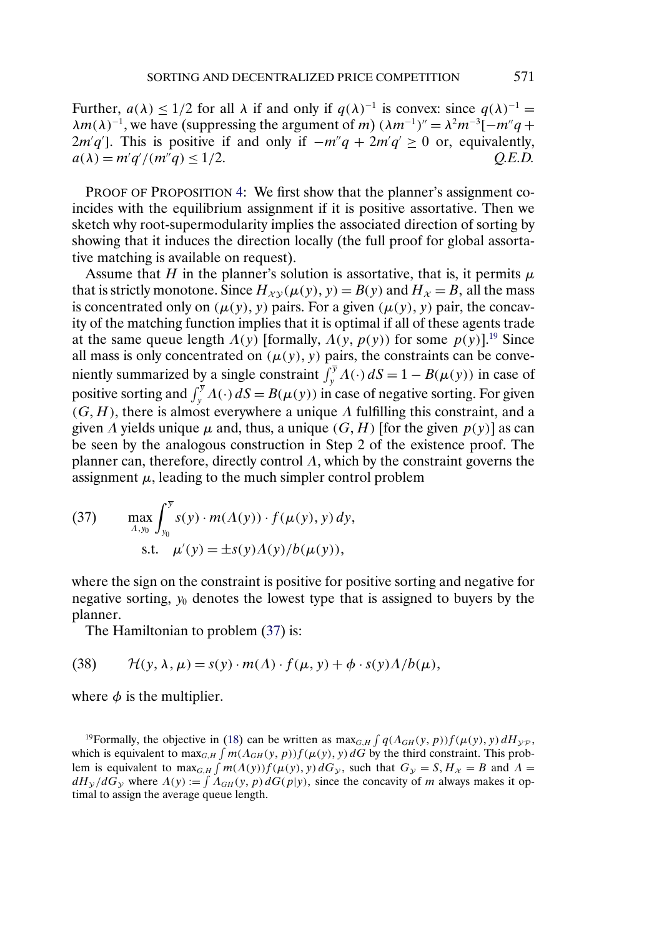<span id="page-32-0"></span>Further,  $a(\lambda) < 1/2$  for all  $\lambda$  if and only if  $q(\lambda)^{-1}$  is convex: since  $q(\lambda)^{-1} =$  $\lambda m(\lambda)^{-1}$ , we have (suppressing the argument of m)  $(\lambda m^{-1})'' = \lambda^2 m^{-3}[-m''q +$  $2m'q'$ ]. This is positive if and only if  $-m''q + 2m'q' \ge 0$  or, equivalently,  $a(\lambda) = m'q'/(m''q) \leq 1/2.$  Q.E.D.

PROOF OF PROPOSITION [4:](#page-17-0) We first show that the planner's assignment coincides with the equilibrium assignment if it is positive assortative. Then we sketch why root-supermodularity implies the associated direction of sorting by showing that it induces the direction locally (the full proof for global assortative matching is available on request).

Assume that H in the planner's solution is assortative, that is, it permits  $\mu$ that is strictly monotone. Since  $H_{\chi y}(\mu(y), y) = B(y)$  and  $H_x = B$ , all the mass is concentrated only on  $(\mu(y), y)$  pairs. For a given  $(\mu(y), y)$  pair, the concavity of the matching function implies that it is optimal if all of these agents trade at the same queue length  $\Lambda(y)$  [formally,  $\Lambda(y, p(y))$  for some  $p(y)$ ].<sup>19</sup> Since all mass is only concentrated on  $(\mu(y), y)$  pairs, the constraints can be conveniently summarized by a single constraint  $\int_y^{\overline{y}} A(\cdot) dS = 1 - B(\mu(y))$  in case of positive sorting and  $\int_y^y A(\cdot) dS = B(\mu(y))$  in case of negative sorting. For given  $(G, H)$ , there is almost everywhere a unique Λ fulfilling this constraint, and a given  $\Lambda$  yields unique  $\mu$  and, thus, a unique  $(G, H)$  [for the given  $p(y)$ ] as can be seen by the analogous construction in Step 2 of the existence proof. The planner can, therefore, directly control  $\Lambda$ , which by the constraint governs the assignment  $\mu$ , leading to the much simpler control problem

(37) 
$$
\max_{A,y_0} \int_{y_0}^{\overline{y}} s(y) \cdot m(\Lambda(y)) \cdot f(\mu(y), y) dy,
$$
  
s.t.  $\mu'(y) = \pm s(y) \Lambda(y) / b(\mu(y)),$ 

where the sign on the constraint is positive for positive sorting and negative for negative sorting,  $y_0$  denotes the lowest type that is assigned to buyers by the planner.

The Hamiltonian to problem (37) is:

(38) 
$$
\mathcal{H}(y,\lambda,\mu) = s(y) \cdot m(\Lambda) \cdot f(\mu,y) + \phi \cdot s(y) \Lambda/b(\mu),
$$

where  $\phi$  is the multiplier.

<sup>19</sup>Formally, the objective in [\(18\)](#page-17-0) can be written as  $\max_{G,H} \int q(\Lambda_{GH}(y, p)) f(\mu(y), y) dH_{\mathcal{Y}P}$ , which is equivalent to  $\max_{G,H} \int m(\Lambda_{GH}(y, p)) f(\mu(y), y) dG$  by the third constraint. This problem is equivalent to  $\max_{G,H} \int m(\Lambda(y)) f(\mu(y), y) dG_y$ , such that  $G_y = S, H_x = B$  and  $\Lambda =$  $dH_y/dG_y$  where  $\Lambda(y) := \int \Lambda_{GH}(y, p) dG(p|y)$ , since the concavity of m always makes it optimal to assign the average queue length.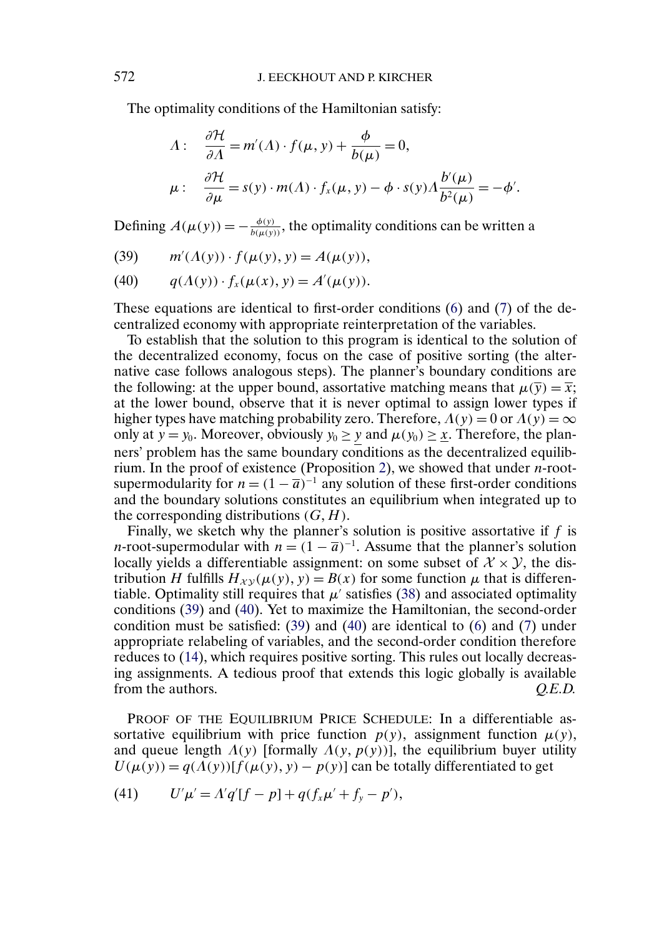<span id="page-33-0"></span>The optimality conditions of the Hamiltonian satisfy:

$$
\Lambda: \quad \frac{\partial \mathcal{H}}{\partial \Lambda} = m'(\Lambda) \cdot f(\mu, y) + \frac{\phi}{b(\mu)} = 0,
$$
  

$$
\mu: \quad \frac{\partial \mathcal{H}}{\partial \mu} = s(y) \cdot m(\Lambda) \cdot f_x(\mu, y) - \phi \cdot s(y) \Lambda \frac{b'(\mu)}{b^2(\mu)} = -\phi'.
$$

Defining  $A(\mu(y)) = -\frac{\phi(y)}{b(\mu(y))}$ , the optimality conditions can be written a

- (39)  $m'(A(y)) \cdot f(\mu(y), y) = A(\mu(y)),$
- (40)  $q(A(y)) \cdot f_x(\mu(x), y) = A'(\mu(y)).$

These equations are identical to first-order conditions [\(6\)](#page-9-0) and [\(7\)](#page-9-0) of the decentralized economy with appropriate reinterpretation of the variables.

To establish that the solution to this program is identical to the solution of the decentralized economy, focus on the case of positive sorting (the alternative case follows analogous steps). The planner's boundary conditions are the following: at the upper bound, assortative matching means that  $\mu(\bar{y}) = \bar{x}$ ; at the lower bound, observe that it is never optimal to assign lower types if higher types have matching probability zero. Therefore,  $\Lambda(y) = 0$  or  $\Lambda(y) = \infty$ only at  $y = y_0$ . Moreover, obviously  $y_0 \ge y$  and  $\mu(y_0) \ge \underline{x}$ . Therefore, the planners' problem has the same boundary conditions as the decentralized equilib-rium. In the proof of existence (Proposition [2\)](#page-14-0), we showed that under  $n$ -rootsupermodularity for  $n = (1 - \overline{a})^{-1}$  any solution of these first-order conditions and the boundary solutions constitutes an equilibrium when integrated up to the corresponding distributions  $(G, H)$ .

Finally, we sketch why the planner's solution is positive assortative if  $f$  is *n*-root-supermodular with  $n = (1 - \overline{a})^{-1}$ . Assume that the planner's solution locally yields a differentiable assignment: on some subset of  $\mathcal{X} \times \mathcal{Y}$ , the distribution H fulfills  $H_{\chi \gamma}(\mu(y), y) = B(x)$  for some function  $\mu$  that is differentiable. Optimality still requires that  $\mu'$  satisfies [\(38\)](#page-32-0) and associated optimality conditions (39) and (40). Yet to maximize the Hamiltonian, the second-order condition must be satisfied: (39) and (40) are identical to [\(6\)](#page-9-0) and [\(7\)](#page-9-0) under appropriate relabeling of variables, and the second-order condition therefore reduces to [\(14\)](#page-10-0), which requires positive sorting. This rules out locally decreasing assignments. A tedious proof that extends this logic globally is available from the authors. *Q.E.D.*

PROOF OF THE EQUILIBRIUM PRICE SCHEDULE: In a differentiable assortative equilibrium with price function  $p(y)$ , assignment function  $\mu(y)$ , and queue length  $\Lambda(y)$  [formally  $\Lambda(y, p(y))$ ], the equilibrium buyer utility  $U(\mu(\nu)) = q(\Lambda(\nu)) [f(\mu(\nu), \nu) - p(\nu)]$  can be totally differentiated to get

(41) 
$$
U'\mu' = A'q'[f-p] + q(f_x\mu' + f_y - p'),
$$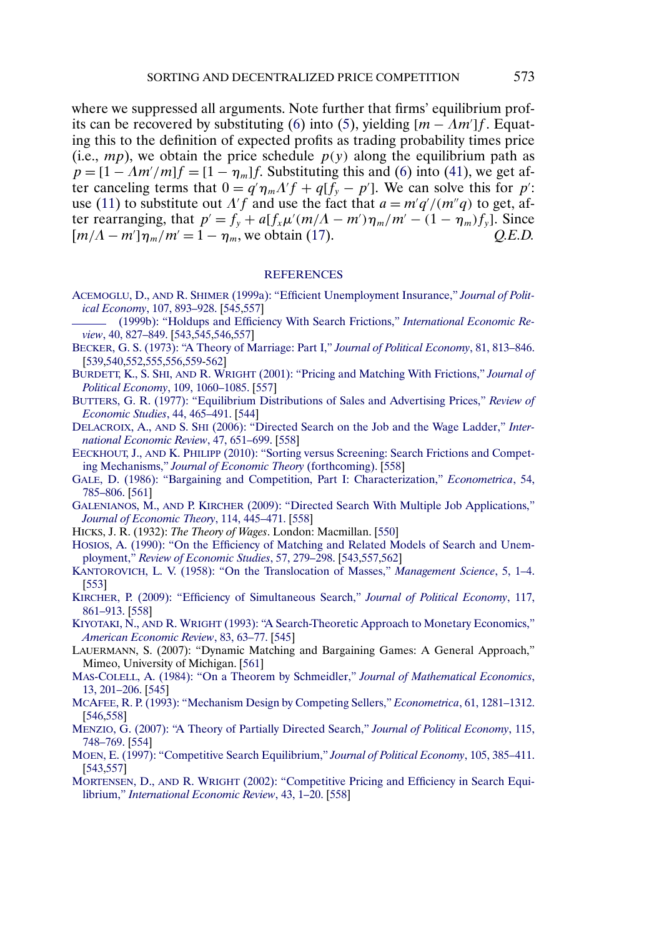<span id="page-34-0"></span>where we suppressed all arguments. Note further that firms' equilibrium prof-its can be recovered by substituting [\(6\)](#page-9-0) into [\(5\)](#page-9-0), yielding  $[m - \Lambda m']f$ . Equating this to the definition of expected profits as trading probability times price (i.e.,  $mp$ ), we obtain the price schedule  $p(y)$  along the equilibrium path as  $p = [1 - \Lambda m'/m]f = [1 - \eta_m]f$ . Substituting this and [\(6\)](#page-9-0) into [\(41\)](#page-33-0), we get after canceling terms that  $0 = q' \eta_m \Lambda' f + q[f_y - p']$ . We can solve this for p': use [\(11\)](#page-10-0) to substitute out  $\Lambda'f$  and use the fact that  $a = m'q'/(m''q)$  to get, after rearranging, that  $p' = f_y + a[f_x \mu'(m/\Lambda - m')\eta_m/m' - (1 - \eta_m)f_y]$ . Since  $[m/\Lambda - m']\eta_m/m' = 1 - \eta_m$ , we obtain [\(17\)](#page-16-0). *Q.E.D.* 

#### **[REFERENCES](http://www.e-publications.org/srv/ecta/linkserver/setprefs?rfe_id=urn:sici%2F0012-9682%28201003%2978%3A2%3C539%3ASADPC%3E2.0.CO%3B2-O)**

- ACEMOGLU, D., AND R. SHIMER [\(1999a\): "Efficient Unemployment Insurance,"](http://www.e-publications.org/srv/ecta/linkserver/openurl?rft_dat=bib:1/1999aAcemoglu&rfe_id=urn:sici%2F0012-9682%28201003%2978%3A2%3C539%3ASADPC%3E2.0.CO%3B2-O) *Journal of Political Economy*[, 107, 893–928.](http://www.e-publications.org/srv/ecta/linkserver/openurl?rft_dat=bib:1/1999aAcemoglu&rfe_id=urn:sici%2F0012-9682%28201003%2978%3A2%3C539%3ASADPC%3E2.0.CO%3B2-O) [\[545,557\]](#page-6-0)
- [\(1999b\): "Holdups and Efficiency With Search Frictions,"](http://www.e-publications.org/srv/ecta/linkserver/openurl?rft_dat=bib:2/1999bAcemoglu&rfe_id=urn:sici%2F0012-9682%28201003%2978%3A2%3C539%3ASADPC%3E2.0.CO%3B2-O) *International Economic Review*[, 40, 827–849.](http://www.e-publications.org/srv/ecta/linkserver/openurl?rft_dat=bib:2/1999bAcemoglu&rfe_id=urn:sici%2F0012-9682%28201003%2978%3A2%3C539%3ASADPC%3E2.0.CO%3B2-O) [\[543,545](#page-4-0)[,546](#page-6-0)[,557\]](#page-7-0)
- [BECKER, G. S. \(1973\): "A Theory of Marriage: Part I,"](http://www.e-publications.org/srv/ecta/linkserver/openurl?rft_dat=bib:3/1973becker&rfe_id=urn:sici%2F0012-9682%28201003%2978%3A2%3C539%3ASADPC%3E2.0.CO%3B2-O) *Journal of Political Economy*, 81, 813–846. [\[539,540](#page-0-0)[,552](#page-1-0)[,555,](#page-13-0)[556,](#page-16-0)[559-](#page-17-0)[562\]](#page-23-0)
- BURDETT, K., S. SHI, AND R. WRIGHT [\(2001\): "Pricing and Matching With Frictions,"](http://www.e-publications.org/srv/ecta/linkserver/openurl?rft_dat=bib:4/2001burdett&rfe_id=urn:sici%2F0012-9682%28201003%2978%3A2%3C539%3ASADPC%3E2.0.CO%3B2-O) *Journal of [Political Economy](http://www.e-publications.org/srv/ecta/linkserver/openurl?rft_dat=bib:4/2001burdett&rfe_id=urn:sici%2F0012-9682%28201003%2978%3A2%3C539%3ASADPC%3E2.0.CO%3B2-O)*, 109, 1060–1085. [\[557\]](#page-18-0)
- [BUTTERS, G. R. \(1977\): "Equilibrium Distributions of Sales and Advertising Prices,"](http://www.e-publications.org/srv/ecta/linkserver/openurl?rft_dat=bib:5/1977butters&rfe_id=urn:sici%2F0012-9682%28201003%2978%3A2%3C539%3ASADPC%3E2.0.CO%3B2-O) *Review of [Economic Studies](http://www.e-publications.org/srv/ecta/linkserver/openurl?rft_dat=bib:5/1977butters&rfe_id=urn:sici%2F0012-9682%28201003%2978%3A2%3C539%3ASADPC%3E2.0.CO%3B2-O)*, 44, 465–491. [\[544\]](#page-5-0)
- DELACROIX, A., AND S. SHI [\(2006\): "Directed Search on the Job and the Wage Ladder,"](http://www.e-publications.org/srv/ecta/linkserver/openurl?rft_dat=bib:6/2006Delacroix&rfe_id=urn:sici%2F0012-9682%28201003%2978%3A2%3C539%3ASADPC%3E2.0.CO%3B2-O) *Inter[national Economic Review](http://www.e-publications.org/srv/ecta/linkserver/openurl?rft_dat=bib:6/2006Delacroix&rfe_id=urn:sici%2F0012-9682%28201003%2978%3A2%3C539%3ASADPC%3E2.0.CO%3B2-O)*, 47, 651–699. [\[558\]](#page-19-0)
- EECKHOUT, J., AND K. PHILIPP [\(2010\): "Sorting versus Screening: Search Frictions and Compet](http://www.e-publications.org/srv/ecta/linkserver/openurl?rft_dat=bib:7/2010Eeckhout&rfe_id=urn:sici%2F0012-9682%28201003%2978%3A2%3C539%3ASADPC%3E2.0.CO%3B2-O)ing Mechanisms," *[Journal of Economic Theory](http://www.e-publications.org/srv/ecta/linkserver/openurl?rft_dat=bib:7/2010Eeckhout&rfe_id=urn:sici%2F0012-9682%28201003%2978%3A2%3C539%3ASADPC%3E2.0.CO%3B2-O)* (forthcoming). [\[558\]](#page-19-0)
- [GALE, D. \(1986\): "Bargaining and Competition, Part I: Characterization,"](http://www.e-publications.org/srv/ecta/linkserver/openurl?rft_dat=bib:8/1986Gale&rfe_id=urn:sici%2F0012-9682%28201003%2978%3A2%3C539%3ASADPC%3E2.0.CO%3B2-O) *Econometrica*, 54, [785–806.](http://www.e-publications.org/srv/ecta/linkserver/openurl?rft_dat=bib:8/1986Gale&rfe_id=urn:sici%2F0012-9682%28201003%2978%3A2%3C539%3ASADPC%3E2.0.CO%3B2-O) [\[561\]](#page-22-0)
- GALENIANOS, M., AND P. KIRCHER [\(2009\): "Directed Search With Multiple Job Applications,"](http://www.e-publications.org/srv/ecta/linkserver/openurl?rft_dat=bib:9/2009Galenianos&rfe_id=urn:sici%2F0012-9682%28201003%2978%3A2%3C539%3ASADPC%3E2.0.CO%3B2-O) *[Journal of Economic Theory](http://www.e-publications.org/srv/ecta/linkserver/openurl?rft_dat=bib:9/2009Galenianos&rfe_id=urn:sici%2F0012-9682%28201003%2978%3A2%3C539%3ASADPC%3E2.0.CO%3B2-O)*, 114, 445–471. [\[558\]](#page-19-0)
- HICKS, J. R. (1932): *The Theory of Wages*. London: Macmillan. [\[550\]](#page-11-0)
- [HOSIOS, A. \(1990\): "On the Efficiency of Matching and Related Models of Search and Unem](http://www.e-publications.org/srv/ecta/linkserver/openurl?rft_dat=bib:11/1990hosios&rfe_id=urn:sici%2F0012-9682%28201003%2978%3A2%3C539%3ASADPC%3E2.0.CO%3B2-O)ployment," *[Review of Economic Studies](http://www.e-publications.org/srv/ecta/linkserver/openurl?rft_dat=bib:11/1990hosios&rfe_id=urn:sici%2F0012-9682%28201003%2978%3A2%3C539%3ASADPC%3E2.0.CO%3B2-O)*, 57, 279–298. [\[543,557,](#page-4-0)[562\]](#page-18-0)
- [KANTOROVICH, L. V. \(1958\): "On the Translocation of Masses,"](http://www.e-publications.org/srv/ecta/linkserver/openurl?rft_dat=bib:12/1958Kantorovich&rfe_id=urn:sici%2F0012-9682%28201003%2978%3A2%3C539%3ASADPC%3E2.0.CO%3B2-O) *Management Science*, 5, 1–4. [\[553\]](#page-14-0)
- [KIRCHER, P. \(2009\): "Efficiency of Simultaneous Search,"](http://www.e-publications.org/srv/ecta/linkserver/openurl?rft_dat=bib:13/2009kircher&rfe_id=urn:sici%2F0012-9682%28201003%2978%3A2%3C539%3ASADPC%3E2.0.CO%3B2-O) *Journal of Political Economy*, 117, [861–913.](http://www.e-publications.org/srv/ecta/linkserver/openurl?rft_dat=bib:13/2009kircher&rfe_id=urn:sici%2F0012-9682%28201003%2978%3A2%3C539%3ASADPC%3E2.0.CO%3B2-O) [\[558\]](#page-19-0)
- KIYOTAKI, N., AND R. WRIGHT [\(1993\): "A Search-Theoretic Approach to Monetary Economics,"](http://www.e-publications.org/srv/ecta/linkserver/openurl?rft_dat=bib:14/1993kiyotaki&rfe_id=urn:sici%2F0012-9682%28201003%2978%3A2%3C539%3ASADPC%3E2.0.CO%3B2-O) *[American Economic Review](http://www.e-publications.org/srv/ecta/linkserver/openurl?rft_dat=bib:14/1993kiyotaki&rfe_id=urn:sici%2F0012-9682%28201003%2978%3A2%3C539%3ASADPC%3E2.0.CO%3B2-O)*, 83, 63–77. [\[545\]](#page-6-0)
- LAUERMANN, S. (2007): "Dynamic Matching and Bargaining Games: A General Approach," Mimeo, University of Michigan. [\[561\]](#page-22-0)
- [MAS-COLELL, A. \(1984\): "On a Theorem by Schmeidler,"](http://www.e-publications.org/srv/ecta/linkserver/openurl?rft_dat=bib:16/1984mas-collel&rfe_id=urn:sici%2F0012-9682%28201003%2978%3A2%3C539%3ASADPC%3E2.0.CO%3B2-O) *Journal of Mathematical Economics*, [13, 201–206.](http://www.e-publications.org/srv/ecta/linkserver/openurl?rft_dat=bib:16/1984mas-collel&rfe_id=urn:sici%2F0012-9682%28201003%2978%3A2%3C539%3ASADPC%3E2.0.CO%3B2-O) [\[545\]](#page-6-0)
- [MCAFEE, R. P. \(1993\): "Mechanism Design by Competing Sellers,"](http://www.e-publications.org/srv/ecta/linkserver/openurl?rft_dat=bib:17/1993mcafee&rfe_id=urn:sici%2F0012-9682%28201003%2978%3A2%3C539%3ASADPC%3E2.0.CO%3B2-O) *Econometrica*, 61, 1281–1312. [\[546,558\]](#page-7-0)
- [MENZIO, G. \(2007\): "A Theory of Partially Directed Search,"](http://www.e-publications.org/srv/ecta/linkserver/openurl?rft_dat=bib:18/2007menzio&rfe_id=urn:sici%2F0012-9682%28201003%2978%3A2%3C539%3ASADPC%3E2.0.CO%3B2-O) *Journal of Political Economy*, 115, [748–769.](http://www.e-publications.org/srv/ecta/linkserver/openurl?rft_dat=bib:18/2007menzio&rfe_id=urn:sici%2F0012-9682%28201003%2978%3A2%3C539%3ASADPC%3E2.0.CO%3B2-O) [\[554\]](#page-15-0)
- [MOEN, E. \(1997\): "Competitive Search Equilibrium,"](http://www.e-publications.org/srv/ecta/linkserver/openurl?rft_dat=bib:19/1997moen&rfe_id=urn:sici%2F0012-9682%28201003%2978%3A2%3C539%3ASADPC%3E2.0.CO%3B2-O) *Journal of Political Economy*, 105, 385–411. [\[543,557\]](#page-4-0)
- MORTENSEN, D., AND R. WRIGHT [\(2002\): "Competitive Pricing and Efficiency in Search Equi](http://www.e-publications.org/srv/ecta/linkserver/openurl?rft_dat=bib:20/2002mortensen&rfe_id=urn:sici%2F0012-9682%28201003%2978%3A2%3C539%3ASADPC%3E2.0.CO%3B2-O)librium," *[International Economic Review](http://www.e-publications.org/srv/ecta/linkserver/openurl?rft_dat=bib:20/2002mortensen&rfe_id=urn:sici%2F0012-9682%28201003%2978%3A2%3C539%3ASADPC%3E2.0.CO%3B2-O)*, 43, 1–20. [\[558\]](#page-19-0)